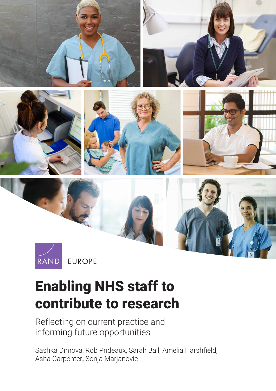

Enabling NHS staff to

## [contribute to research](https://www.rand.org/pubs/research_reports/RR2679.html)

Reflecting on current practice and informing future opportunities

Sashka Dimova, Rob Prideaux, Sarah Ball, Amelia Harshfield, Asha Carpenter, Sonja Marjanovic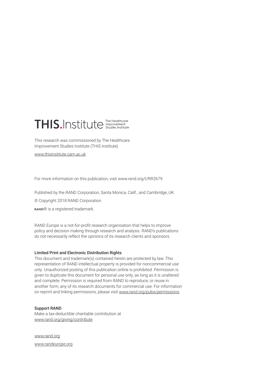## THIS.Institute The Healthcare

This research was commissioned by The Healthcare Improvement Studies Institute (THIS Institute)

[www.thisinstitute.cam.ac.uk](http://www.thisinstitute.cam.ac.uk)

For more information on this publication, visit [www.rand.org/t/RR2679](http://www.rand.org/t/RR2679)

Published by the RAND Corporation, Santa Monica, Calif., and Cambridge, UK

© Copyright 2018 RAND Corporation

RAND® is a registered trademark.

RAND Europe is a not-for-profit research organisation that helps to improve policy and decision making through research and analysis. RAND's publications do not necessarily reflect the opinions of its research clients and sponsors.

#### Limited Print and Electronic Distribution Rights

This document and trademark(s) contained herein are protected by law. This representation of RAND intellectual property is provided for noncommercial use only. Unauthorized posting of this publication online is prohibited. Permission is given to duplicate this document for personal use only, as long as it is unaltered and complete. Permission is required from RAND to reproduce, or reuse in another form, any of its research documents for commercial use. For information on reprint and linking permissions, please visit [www.rand.org/pubs/permissions](http://www.rand.org/pubs/permissions).

#### Support RAND

Make a tax-deductible charitable contribution at [www.rand.org/giving/contribute](http://www.rand.org/giving/contribute)

[www.rand.org](http://www.rand.org)

[www.randeurope.org](http://www.randeurope.org)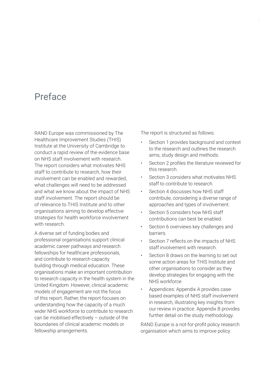## Preface

RAND Europe was commissioned by The Healthcare Improvement Studies (THIS) Institute at the University of Cambridge to conduct a rapid review of the evidence base on NHS staff involvement with research. The report considers what motivates NHS staff to contribute to research, how their involvement can be enabled and rewarded, what challenges will need to be addressed and what we know about the impact of NHS staff involvement. The report should be of relevance to THIS Institute and to other organisations aiming to develop effective strategies for health workforce involvement with research.

A diverse set of funding bodies and professional organisations support clinical academic career pathways and research fellowships for healthcare professionals, and contribute to research capacity building through medical education. These organisations make an important contribution to research capacity in the health system in the United Kingdom. However, clinical academic models of engagement are not the focus of this report. Rather, the report focuses on understanding how the capacity of a much wider NHS workforce to contribute to research can be mobilised effectively – outside of the boundaries of clinical academic models or fellowship arrangements.

The report is structured as follows:

- Section 1 provides background and context to the research and outlines the research aims, study design and methods.
- Section 2 profiles the literature reviewed for this research.
- Section 3 considers what motivates NHS staff to contribute to research.
- Section 4 discusses how NHS staff contribute, considering a diverse range of approaches and types of involvement.
- Section 5 considers how NHS staff contributions can best be enabled.
- Section 6 overviews key challenges and barriers.
- Section 7 reflects on the impacts of NHS staff involvement with research.
- Section 8 draws on the learning to set out some action areas for THIS Institute and other organisations to consider as they develop strategies for engaging with the NHS workforce.
- Appendices: Appendix A provides casebased examples of NHS staff involvement in research, illustrating key insights from our review in practice. Appendix B provides further detail on the study methodology.

RAND Europe is a not-for-profit policy research organisation which aims to improve policy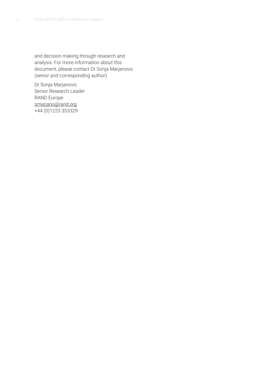and decision making through research and analysis. For more information about this document, please contact Dr Sonja Marjanovic (senior and corresponding author):

Dr Sonja Marjanovic Senior Research Leader RAND Europe [smarjano@rand.org](mailto:smarjano@rand.org) +44 (0)1223 353329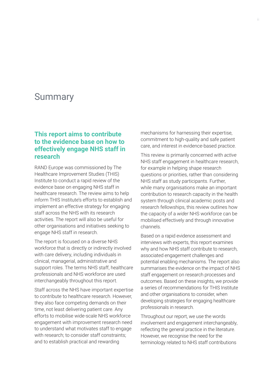## Summary

#### **This report aims to contribute to the evidence base on how to effectively engage NHS staff in research**

RAND Europe was commissioned by The Healthcare Improvement Studies (THIS) Institute to conduct a rapid review of the evidence base on engaging NHS staff in healthcare research. The review aims to help inform THIS Institute's efforts to establish and implement an effective strategy for engaging staff across the NHS with its research activities. The report will also be useful for other organisations and initiatives seeking to engage NHS staff in research.

The report is focused on a diverse NHS workforce that is directly or indirectly involved with care delivery, including individuals in clinical, managerial, administrative and support roles. The terms NHS staff, healthcare professionals and NHS workforce are used interchangeably throughout this report.

Staff across the NHS have important expertise to contribute to healthcare research. However, they also face competing demands on their time, not least delivering patient care. Any efforts to mobilise wide-scale NHS workforce engagement with improvement research need to understand what motivates staff to engage with research; to consider staff constraints; and to establish practical and rewarding

mechanisms for harnessing their expertise, commitment to high-quality and safe patient care, and interest in evidence-based practice.

This review is primarily concerned with *active* NHS staff engagement in healthcare research, for example in helping shape research questions or priorities, rather than considering NHS staff as study participants. Further, while many organisations make an important contribution to research capacity in the health system through clinical academic posts and research fellowships, this review outlines how the capacity of a *wider* NHS workforce can be mobilised effectively and through innovative channels.

Based on a rapid evidence assessment and interviews with experts, this report examines why and how NHS staff contribute to research, associated engagement challenges and potential enabling mechanisms. The report also summarises the evidence on the impact of NHS staff engagement on research processes and outcomes. Based on these insights, we provide a series of recommendations for THIS Institute and other organisations to consider, when developing strategies for engaging healthcare professionals in research.

Throughout our report, we use the words involvement and engagement interchangeably, reflecting the general practice in the literature. However, we recognise the need for the terminology related to NHS staff contributions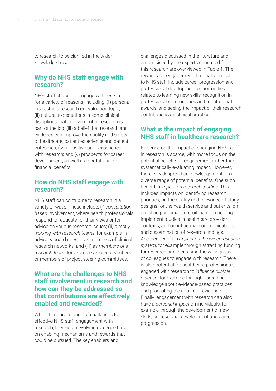to research to be clarified in the wider knowledge base.

#### **Why do NHS staff engage with research?**

NHS staff choose to engage with research for a variety of reasons, including: (i) personal interest in a research or evaluation topic; (ii) cultural expectations in some clinical disciplines that involvement in research is part of the job; (iii) a belief that research and evidence can improve the quality and safety of healthcare, patient experience and patient outcomes; (iv) a positive prior experience with research; and (v) prospects for career development, as well as reputational or financial benefits.

#### **How do NHS staff engage with research?**

NHS staff can contribute to research in a variety of ways. These include: (i) *consultationbased* involvement, where health professionals respond to requests for their views or for advice on various research issues; (ii) *directly working with research teams*, for example in advisory board roles or as members of clinical research networks; and (iii) as *members of a research team*, for example as co-researchers or members of project steering committees.

#### **What are the challenges to NHS staff involvement in research and how can they be addressed so that contributions are effectively enabled and rewarded?**

While there are a range of challenges to effective NHS staff engagement with research, there is an evolving evidence base on enabling mechanisms and rewards that could be pursued. The key enablers and

challenges discussed in the literature and emphasised by the experts consulted for this research are overviewed in Table 1. The rewards for engagement that matter most to NHS staff include career progression and professional development opportunities related to learning new skills, recognition in professional communities and reputational awards, and seeing the impact of their research contributions on clinical practice.

#### **What is the impact of engaging NHS staff in healthcare research?**

Evidence on the impact of engaging NHS staff in research is scarce, with more focus on the potential benefits of engagement rather than systematically evaluating impact. However, there is widespread acknowledgement of a diverse range of potential benefits. One such benefit is *impact on research studies*. This includes impacts on identifying research priorities, on the quality and relevance of study designs for the health service and patients, on enabling participant recruitment, on helping implement studies in healthcare provider contexts, and on influential communications and dissemination of research findings. Another benefit is *impact on the wider research system*, for example through attracting funding for research and increasing the willingness of colleagues to engage with research. There is also potential for healthcare professionals engaged with research to *influence clinical practice*, for example through spreading knowledge about evidence-based practices and promoting the uptake of evidence. Finally, engagement with research can also have a *personal impact* on individuals, for example through the development of new skills, professional development and career progression.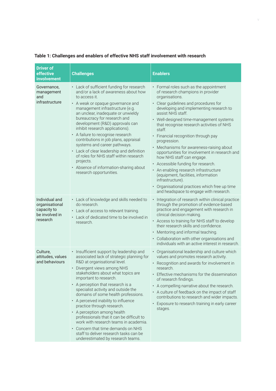| <b>Driver of</b><br>effective<br>involvement                                  | <b>Challenges</b>                                                                                                                                                                                                                                                                                                                                                                                                                                                                                                                                                                                                                                   | <b>Enablers</b>                                                                                                                                                                                                                                                                                                                                                                                                                                                                                                                                                                                                                                                                                                                |
|-------------------------------------------------------------------------------|-----------------------------------------------------------------------------------------------------------------------------------------------------------------------------------------------------------------------------------------------------------------------------------------------------------------------------------------------------------------------------------------------------------------------------------------------------------------------------------------------------------------------------------------------------------------------------------------------------------------------------------------------------|--------------------------------------------------------------------------------------------------------------------------------------------------------------------------------------------------------------------------------------------------------------------------------------------------------------------------------------------------------------------------------------------------------------------------------------------------------------------------------------------------------------------------------------------------------------------------------------------------------------------------------------------------------------------------------------------------------------------------------|
| Governance,<br>management<br>and<br>infrastructure                            | • Lack of sufficient funding for research<br>and/or a lack of awareness about how<br>to access it.<br>• A weak or opaque governance and<br>management infrastructure (e.g.<br>an unclear, inadequate or unwieldy<br>bureaucracy for research and<br>development (R&D) approvals can<br>inhibit research applications).<br>• A failure to recognise research<br>contributions in job plans, appraisal<br>systems and career pathways.<br>• Lack of clear leadership and definition<br>of roles for NHS staff within research<br>projects.<br>• Absence of information-sharing about<br>research opportunities.                                       | • Formal roles such as the appointment<br>of research champions in provider<br>organisations.<br>• Clear guidelines and procedures for<br>developing and implementing research to<br>assist NHS staff.<br>• Well-designed time-management systems<br>that recognise research activities of NHS<br>staff.<br>• Financial recognition through pay<br>progression.<br>• Mechanisms for awareness-raising about<br>opportunities for involvement in research and<br>how NHS staff can engage.<br>• Accessible funding for research.<br>• An enabling research infrastructure<br>(equipment, facilities, information<br>infrastructure).<br>• Organisational practices which free up time<br>and headspace to engage with research. |
| Individual and<br>organisational<br>capacity to<br>be involved in<br>research | • Lack of knowledge and skills needed to<br>do research.<br>• Lack of access to relevant training.<br>• Lack of dedicated time to be involved in<br>research.                                                                                                                                                                                                                                                                                                                                                                                                                                                                                       | • Integration of research within clinical practice<br>through the promotion of evidence-based<br>practice and engagement with research in<br>clinical decision making.<br>• Access to training for NHS staff to develop<br>their research skills and confidence.<br>Mentoring and informal teaching.<br>$\bullet$<br>• Collaboration with other organisations and<br>individuals with an active interest in research.                                                                                                                                                                                                                                                                                                          |
| Culture,<br>attitudes, values<br>and behaviours                               | • Insufficient support by leadership and<br>associated lack of strategic planning for<br>R&D at organisational level.<br>• Divergent views among NHS<br>stakeholders about what topics are<br>important to research.<br>A perception that research is a<br>specialist activity and outside the<br>domains of some health professions.<br>• A perceived inability to influence<br>practice through research.<br>• A perception among health<br>professionals that it can be difficult to<br>work with research teams in academia.<br>Concern that time demands on NHS<br>staff to deliver research tasks can be<br>underestimated by research teams. | • Organisational leadership and culture which<br>values and promotes research activity.<br>• Recognition and awards for involvement in<br>research.<br>• Effective mechanisms for the dissemination<br>of research findings.<br>• A compelling narrative about the research.<br>• A culture of feedback on the impact of staff<br>contributions to research and wider impacts.<br>• Exposure to research training in early career<br>stages.                                                                                                                                                                                                                                                                                   |

#### **Table 1: Challenges and enablers of effective NHS staff involvement with research**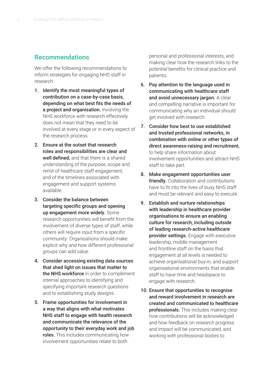#### **Recommendations**

We offer the following recommendations to inform strategies for engaging NHS staff in research:

- 1. Identify the most meaningful types of contribution on a case-by-case basis, depending on what best fits the needs of a project and organisation. Involving the NHS workforce with research effectively does not mean that they need to be involved at every stage or in every aspect of the research process.
- 2. Ensure at the outset that research roles and responsibilities are clear and well defined, and that there is a shared understanding of the purpose, scope and remit of healthcare staff engagement, and of the timelines associated with engagement and support systems available.
- 3. Consider the balance between targeting specific groups and opening up engagement more widely. Some research opportunities will benefit from the involvement of diverse types of staff, while others will require input from a specific community. Organisations should make explicit why and how different professional groups can add value.
- 4. Consider accessing existing data sources that shed light on issues that matter to the NHS workforce in order to complement internal approaches to identifying and specifying important research questions and to establishing study designs.
- 5. Frame opportunities for involvement in a way that aligns with what motivates NHS staff to engage with health research and communicate the relevance of the opportunity to their everyday work and job roles. This includes communicating how involvement opportunities relate to both

personal and professional interests, and making clear how the research links to the *potential* benefits for clinical practice and patients.

- 6. Pay attention to the language used in communicating with healthcare staff and avoid unnecessary jargon. A clear and compelling narrative is important for communicating why an individual should get involved with research.
- 7. Consider how best to use established and trusted professional networks, in combination with online or other types of direct awareness-raising and recruitment, to help share information about involvement opportunities and attract NHS staff to take part.
- 8. Make engagement opportunities user **friendly.** Collaboration and contributions have to fit into the lives of busy NHS staff and must be relevant and easy to execute.
- 9. Establish and nurture relationships with leadership in healthcare provider organisations to ensure an enabling culture for research, including outside of leading research-active healthcare provider settings. Engage with executive leadership, middle management and frontline staff on the basis that engagement at all levels is needed to achieve organisational buy-in, and support organisational environments that enable staff to have time and headspace to engage with research.
- 10. Ensure that opportunities to recognise and reward involvement in research are created and communicated to healthcare professionals. This includes making clear how contributions will be acknowledged and how feedback on research progress and impact will be communicated, and working with professional bodies to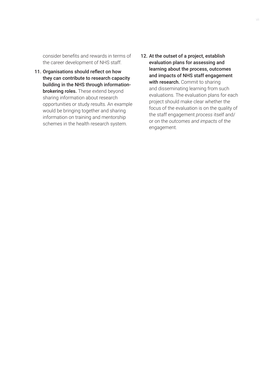consider benefits and rewards in terms of the career development of NHS staff.

- 11. Organisations should reflect on how they can contribute to research capacity building in the NHS through informationbrokering roles. These extend beyond sharing information about research opportunities or study results. An example would be bringing together and sharing information on training and mentorship schemes in the health research system.
- 12. At the outset of a project, establish evaluation plans for assessing and learning about the process, outcomes and impacts of NHS staff engagement with research. Commit to sharing and disseminating learning from such evaluations. The evaluation plans for each project should make clear whether the focus of the evaluation is on the quality of the staff engagement *process* itself and/ or on the *outcomes and impacts* of the engagement.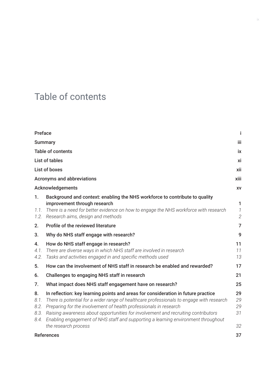## Table of contents

| Preface                            |                                                                                                                                                                                                                                                                                                                                                                                                                                                      | Ť                                |
|------------------------------------|------------------------------------------------------------------------------------------------------------------------------------------------------------------------------------------------------------------------------------------------------------------------------------------------------------------------------------------------------------------------------------------------------------------------------------------------------|----------------------------------|
|                                    | <b>Summary</b>                                                                                                                                                                                                                                                                                                                                                                                                                                       |                                  |
|                                    | <b>Table of contents</b>                                                                                                                                                                                                                                                                                                                                                                                                                             | ix                               |
|                                    | <b>List of tables</b>                                                                                                                                                                                                                                                                                                                                                                                                                                | xi                               |
|                                    | <b>List of boxes</b>                                                                                                                                                                                                                                                                                                                                                                                                                                 | xii                              |
|                                    | <b>Acronyms and abbreviations</b>                                                                                                                                                                                                                                                                                                                                                                                                                    | xiii                             |
|                                    | Acknowledgements                                                                                                                                                                                                                                                                                                                                                                                                                                     | XV                               |
| 1.<br>1.1.<br>1.2.                 | Background and context: enabling the NHS workforce to contribute to quality<br>improvement through research<br>There is a need for better evidence on how to engage the NHS workforce with research<br>Research aims, design and methods                                                                                                                                                                                                             | 1<br>$\mathcal{I}$<br>$\sqrt{2}$ |
| 2.                                 | Profile of the reviewed literature                                                                                                                                                                                                                                                                                                                                                                                                                   | 7                                |
| 3.                                 | Why do NHS staff engage with research?                                                                                                                                                                                                                                                                                                                                                                                                               | 9                                |
| 4.<br>4.1.<br>4.2.                 | How do NHS staff engage in research?<br>There are diverse ways in which NHS staff are involved in research<br>Tasks and activities engaged in and specific methods used                                                                                                                                                                                                                                                                              | 11<br>11<br>13                   |
| 5.                                 | How can the involvement of NHS staff in research be enabled and rewarded?                                                                                                                                                                                                                                                                                                                                                                            | 17                               |
| 6.                                 | Challenges to engaging NHS staff in research                                                                                                                                                                                                                                                                                                                                                                                                         | 21                               |
| 7.                                 | What impact does NHS staff engagement have on research?                                                                                                                                                                                                                                                                                                                                                                                              | 25                               |
| 8.<br>8.1.<br>8.2.<br>8.3.<br>8.4. | In reflection: key learning points and areas for consideration in future practice<br>There is potential for a wider range of healthcare professionals to engage with research<br>Preparing for the involvement of health professionals in research<br>Raising awareness about opportunities for involvement and recruiting contributors<br>Enabling engagement of NHS staff and supporting a learning environment throughout<br>the research process | 29<br>29<br>29<br>31<br>32       |
|                                    | <b>References</b>                                                                                                                                                                                                                                                                                                                                                                                                                                    | 37                               |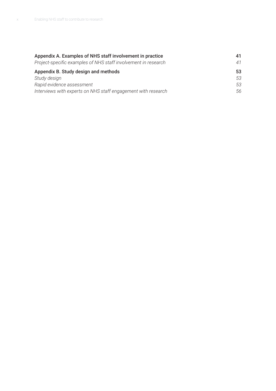| Appendix A. Examples of NHS staff involvement in practice      | 41 |
|----------------------------------------------------------------|----|
| Project-specific examples of NHS staff involvement in research | 41 |
| Appendix B. Study design and methods                           | 53 |
| Study design                                                   | 53 |
| Rapid evidence assessment                                      | 53 |
| Interviews with experts on NHS staff engagement with research  | 56 |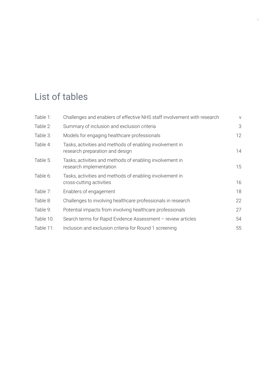## List of tables

| Table 1:  | Challenges and enablers of effective NHS staff involvement with research                    | $\vee$ |
|-----------|---------------------------------------------------------------------------------------------|--------|
| Table 2:  | Summary of inclusion and exclusion criteria                                                 | 3      |
| Table 3:  | Models for engaging healthcare professionals                                                | 12     |
| Table 4:  | Tasks, activities and methods of enabling involvement in<br>research preparation and design | 14     |
| Table 5:  | Tasks, activities and methods of enabling involvement in<br>research implementation         | 15     |
| Table 6:  | Tasks, activities and methods of enabling involvement in<br>cross-cutting activities        | 16     |
| Table 7:  | Enablers of engagement                                                                      | 18     |
| Table 8:  | Challenges to involving healthcare professionals in research                                | 22     |
| Table 9:  | Potential impacts from involving healthcare professionals                                   | 27     |
| Table 10: | Search terms for Rapid Evidence Assessment - review articles                                | 54     |
| Table 11: | Inclusion and exclusion criteria for Round 1 screening                                      | 55     |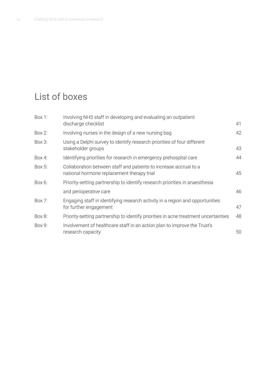## List of boxes

| Box 1:   | Involving NHS staff in developing and evaluating an outpatient<br>discharge checklist                           | 41 |
|----------|-----------------------------------------------------------------------------------------------------------------|----|
| Box 2:   | Involving nurses in the design of a new nursing bag                                                             | 42 |
| Box 3:   | Using a Delphi survey to identify research priorities of four different<br>stakeholder groups                   | 43 |
| Box 4:   | Identifying priorities for research in emergency prehospital care                                               | 44 |
| Box $5:$ | Collaboration between staff and patients to increase accrual to a<br>national hormone replacement therapy trial | 45 |
| Box 6:   | Priority-setting partnership to identify research priorities in anaesthesia                                     |    |
|          | and perioperative care                                                                                          | 46 |
| Box 7:   | Engaging staff in identifying research activity in a region and opportunities<br>for further engagement         | 47 |
| Box 8:   | Priority-setting partnership to identify priorities in acne treatment uncertainties                             | 48 |
| Box 9:   | Involvement of healthcare staff in an action plan to improve the Trust's<br>research capacity                   | 50 |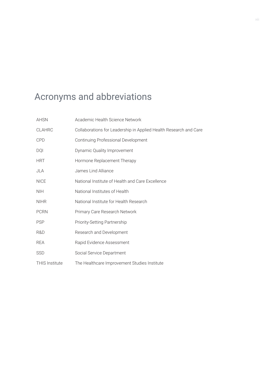## Acronyms and abbreviations

| <b>AHSN</b>           | Academic Health Science Network                                   |
|-----------------------|-------------------------------------------------------------------|
| <b>CLAHRC</b>         | Collaborations for Leadership in Applied Health Research and Care |
| <b>CPD</b>            | Continuing Professional Development                               |
| <b>DOI</b>            | Dynamic Quality Improvement                                       |
| <b>HRT</b>            | Hormone Replacement Therapy                                       |
| JLA                   | James Lind Alliance                                               |
| <b>NICE</b>           | National Institute of Health and Care Excellence                  |
| <b>NIH</b>            | National Institutes of Health                                     |
| <b>NIHR</b>           | National Institute for Health Research                            |
| <b>PCRN</b>           | Primary Care Research Network                                     |
| <b>PSP</b>            | <b>Priority-Setting Partnership</b>                               |
| R&D                   | Research and Development                                          |
| <b>REA</b>            | Rapid Evidence Assessment                                         |
| <b>SSD</b>            | Social Service Department                                         |
| <b>THIS Institute</b> | The Healthcare Improvement Studies Institute                      |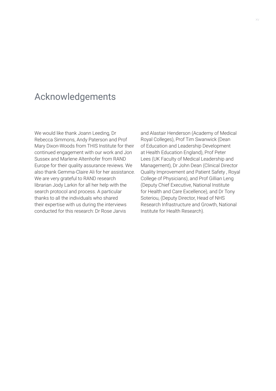## Acknowledgements

We would like thank Joann Leeding, Dr Rebecca Simmons, Andy Paterson and Prof Mary Dixon-Woods from THIS Institute for their continued engagement with our work and Jon Sussex and Marlene Altenhofer from RAND Europe for their quality assurance reviews. We also thank Gemma-Claire Ali for her assistance. We are very grateful to RAND research librarian Jody Larkin for all her help with the search protocol and process. A particular thanks to all the individuals who shared their expertise with us during the interviews conducted for this research: Dr Rose Jarvis

and Alastair Henderson (Academy of Medical Royal Colleges), Prof Tim Swanwick (Dean of Education and Leadership Development at Health Education England), Prof Peter Lees (UK Faculty of Medical Leadership and Management), Dr John Dean (Clinical Director Quality Improvement and Patient Safety , Royal College of Physicians), and Prof Gillian Leng (Deputy Chief Executive, National Institute for Health and Care Excellence), and Dr Tony Soteriou, (Deputy Director, Head of NHS Research Infrastructure and Growth, National Institute for Health Research).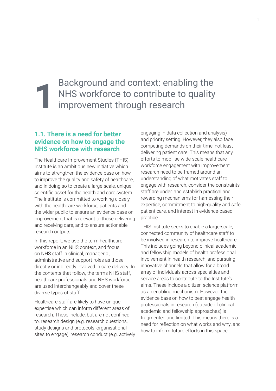### Background and context: enabling the NHS workforce to contribute to quality improvement through research 1

#### **1.1. There is a need for better evidence on how to engage the NHS workforce with research**

The Healthcare Improvement Studies (THIS) Institute is an ambitious new initiative which aims to strengthen the evidence base on how to improve the quality and safety of healthcare, and in doing so to create a large-scale, unique scientific asset for the health and care system. The Institute is committed to working closely with the healthcare workforce, patients and the wider public to ensure an evidence base on improvement that is relevant to those delivering and receiving care, and to ensure actionable research outputs.

In this report, we use the term healthcare workforce in an NHS context, and focus on NHS staff in clinical, managerial, administrative and support roles as those directly or indirectly involved in care delivery. In the contents that follow, the terms NHS staff, healthcare professionals and NHS workforce are used interchangeably and cover these diverse types of staff.

Healthcare staff are likely to have unique expertise which can inform different areas of research. These include, but are not confined to, research design (e.g. research questions, study designs and protocols, organisational sites to engage), research conduct (e.g. actively

engaging in data collection and analysis) and priority setting. However, they also face competing demands on their time, not least delivering patient care. This means that any efforts to mobilise wide-scale healthcare workforce engagement with improvement research need to be framed around an understanding of what motivates staff to engage with research, consider the constraints staff are under, and establish practical and rewarding mechanisms for harnessing their expertise, commitment to high-quality and safe patient care, and interest in evidence-based practice.

THIS Institute seeks to enable a large-scale, connected community of healthcare staff to be involved in research to improve healthcare. This includes going beyond clinical academic and fellowship models of health professional involvement in health research, and pursuing innovative channels that allow for a broad array of individuals across specialties and service areas to contribute to the Institute's aims. These include a citizen science platform as an enabling mechanism. However, the evidence base on how to best engage health professionals in research (outside of clinical academic and fellowship approaches) is fragmented and limited. This means there is a need for reflection on what works and why, and how to inform future efforts in this space.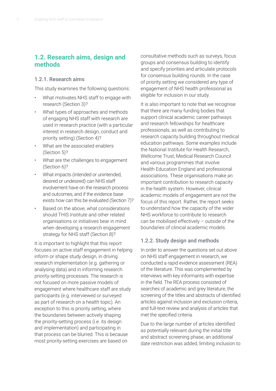#### **1.2. Research aims, design and methods**

#### 1.2.1. Research aims

This study examines the following questions:

- What motivates NHS staff to engage with research (Section 3)?
- What types of approaches and methods of engaging NHS staff with research are used in research practice (with a particular interest in research design, conduct and priority setting) (Section 4)?
- What are the associated enablers (Section 5)?
- What are the challenges to engagement (Section 6)?
- What impacts (intended or unintended, desired or undesired) can NHS staff involvement have on the research process and outcomes, and if the evidence base exists how can this be evaluated (Section 7)?
- Based on the above, what considerations should THIS Institute and other related organisations or initiatives bear in mind when developing a research engagement strategy for NHS staff (Section 8)?

It is important to highlight that this report focuses on active staff engagement in helping inform or shape study design, in driving research implementation (e.g. gathering or analysing data) and in informing research priority-setting processes. The research is not focused on more passive models of engagement where healthcare staff are study participants (e.g. interviewed or surveyed as part of research on a health topic). An exception to this is priority setting, where the boundaries between actively shaping the priority-setting process (i.e. its design and implementation) and participating in that process can be blurred. This is because most priority-setting exercises are based on

consultative methods such as surveys, focus groups and consensus building to identify and specify priorities and articulate protocols for consensus building rounds. In the case of priority setting we considered any type of engagement of NHS health professional as eligible for inclusion in our study.

It is also important to note that we recognise that there are many funding bodies that support clinical academic career pathways and research fellowships for healthcare professionals, as well as contributing to research capacity building throughout medical education pathways. Some examples include the National Institute for Health Research, Wellcome Trust, Medical Research Council and various programmes that involve Health Education England and professional associations. These organisations make an important contribution to research capacity in the health system. However, clinical academic models of engagement are not the focus of this report. Rather, the report seeks to understand how the capacity of the wider NHS workforce to contribute to research can be mobilised effectively – outside of the boundaries of clinical academic models.

#### 1.2.2. Study design and methods

In order to answer the questions set out above on NHS staff engagement in research, we conducted a rapid evidence assessment (REA) of the literature. This was complemented by interviews with key informants with expertise in the field. The REA process consisted of searches of academic and grey literature, the screening of the titles and abstracts of identified articles against inclusion and exclusion criteria, and full-text review and analysis of articles that met the specified criteria.

Due to the large number of articles identified as potentially relevant during the initial title and abstract screening phase, an additional date restriction was added, limiting inclusion to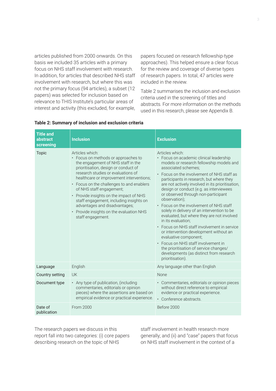articles published from 2000 onwards. On this basis we included 35 articles with a primary focus on NHS staff involvement with research. In addition, for articles that described NHS staff involvement with research, but where this was not the primary focus (94 articles), a subset (12 papers) was selected for inclusion based on relevance to THIS Institute's particular areas of interest and activity (this excluded, for example, papers focused on research fellowship-type approaches). This helped ensure a clear focus for the review and coverage of diverse types of research papers. In total, 47 articles were included in the review.

Table 2 summarises the inclusion and exclusion criteria used in the screening of titles and abstracts. For more information on the methods used in this research, please see Appendix B.

| <b>Title and</b><br>abstract<br>screening | <b>Inclusion</b>                                                                                                                                                                                                                                                                                                                                                                                                                                                                        | <b>Exclusion</b>                                                                                                                                                                                                                                                                                                                                                                                                                                                                                                                                                                                                                                                                                                                                                                                               |
|-------------------------------------------|-----------------------------------------------------------------------------------------------------------------------------------------------------------------------------------------------------------------------------------------------------------------------------------------------------------------------------------------------------------------------------------------------------------------------------------------------------------------------------------------|----------------------------------------------------------------------------------------------------------------------------------------------------------------------------------------------------------------------------------------------------------------------------------------------------------------------------------------------------------------------------------------------------------------------------------------------------------------------------------------------------------------------------------------------------------------------------------------------------------------------------------------------------------------------------------------------------------------------------------------------------------------------------------------------------------------|
| <b>Topic</b>                              | Articles which:<br>• Focus on methods or approaches to<br>the engagement of NHS staff in the<br>prioritisation, design or conduct of<br>research studies or evaluations of<br>healthcare or improvement interventions;<br>• Focus on the challenges to and enablers<br>of NHS staff engagement;<br>• Provide insights on the impact of NHS<br>staff engagement, including insights on<br>advantages and disadvantages;<br>• Provide insights on the evaluation NHS<br>staff engagement. | Articles which:<br>• Focus on academic clinical leadership<br>models or research fellowship models and<br>associated schemes:<br>• Focus on the involvement of NHS staff as<br>participants in research, but where they<br>are not actively involved in its prioritisation,<br>design or conduct (e.g. as interviewees<br>or observed through non-participant<br>observation);<br>• Focus on the involvement of NHS staff<br>solely in delivery of an intervention to be<br>evaluated, but where they are not involved<br>in its evaluation:<br>• Focus on NHS staff involvement in service<br>or intervention development without an<br>evaluative component;<br>• Focus on NHS staff involvement in<br>the prioritisation of service changes/<br>developments (as distinct from research<br>prioritisation). |
| Language                                  | English                                                                                                                                                                                                                                                                                                                                                                                                                                                                                 | Any language other than English                                                                                                                                                                                                                                                                                                                                                                                                                                                                                                                                                                                                                                                                                                                                                                                |
| Country setting                           | <b>UK</b>                                                                                                                                                                                                                                                                                                                                                                                                                                                                               | <b>None</b>                                                                                                                                                                                                                                                                                                                                                                                                                                                                                                                                                                                                                                                                                                                                                                                                    |
| Document type                             | • Any type of publication, (including<br>commentaries, editorials or opinion<br>pieces) where the assertions are based on<br>empirical evidence or practical experience.                                                                                                                                                                                                                                                                                                                | • Commentaries, editorials or opinion pieces<br>without direct reference to empirical<br>evidence or practical experience.<br>• Conference abstracts.                                                                                                                                                                                                                                                                                                                                                                                                                                                                                                                                                                                                                                                          |
| Date of<br>publication                    | From 2000                                                                                                                                                                                                                                                                                                                                                                                                                                                                               | Before 2000                                                                                                                                                                                                                                                                                                                                                                                                                                                                                                                                                                                                                                                                                                                                                                                                    |

#### **Table 2: Summary of inclusion and exclusion criteria**

The research papers we discuss in this report fall into two categories: (i) core papers describing research on the topic of NHS

staff involvement in health research more generally; and (ii) and "case" papers that focus on NHS staff involvement in the context of a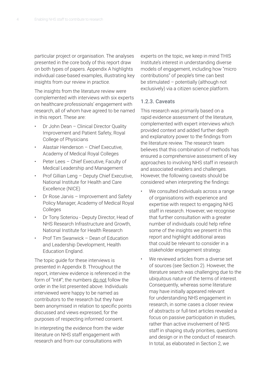particular project or organisation. The analyses presented in the core body of this report draw on both types of papers. Appendix A highlights individual case-based examples, illustrating key insights from our review in practice.

The insights from the literature review were complemented with interviews with six experts on healthcare professionals' engagement with research, all of whom have agreed to be named in this report. These are:

- Dr John Dean Clinical Director Quality Improvement and Patient Safety, Royal College of Physicians
- Alastair Henderson Chief Executive, Academy of Medical Royal Colleges
- Peter Lees Chief Executive, Faculty of Medical Leadership and Management
- Prof Gillian Leng Deputy Chief Executive, National Institute for Health and Care Excellence (NICE)
- Dr Rose Jarvis Improvement and Safety Policy Manager, Academy of Medical Royal **Colleges**
- Dr Tony Soteriou Deputy Director, Head of NHS Research Infrastructure and Growth, National Institute for Health Research
- Prof Tim Swanwick Dean of Education and Leadership Development, Health Education England.

The topic guide for these interviews is presented in Appendix B. Throughout the report, interview evidence is referenced in the form of "Int#"; the numbers do not follow the order in the list presented above. Individuals interviewed were happy to be named as contributors to the research but they have been anonymised in relation to specific points discussed and views expressed, for the purposes of respecting informed consent.

In interpreting the evidence from the wider literature on NHS staff engagement with research and from our consultations with

experts on the topic, we keep in mind THIS Institute's interest in understanding diverse models of engagement, including how "micro contributions" of people's time can best be stimulated – potentially (although not exclusively) via a citizen science platform.

#### 1.2.3. Caveats

This research was primarily based on a rapid evidence assessment of the literature, complemented with expert interviews which provided context and added further depth and explanatory power to the findings from the literature review. The research team believes that this combination of methods has ensured a comprehensive assessment of key approaches to involving NHS staff in research and associated enablers and challenges. However, the following caveats should be considered when interpreting the findings:

- We consulted individuals across a range of organisations with experience and expertise with respect to engaging NHS staff in research. However, we recognise that further consultation with a greater number of individuals could help refine some of the insights we present in this report and highlight additional areas that could be relevant to consider in a stakeholder engagement strategy.
- We reviewed articles from a diverse set of sources (see Section 2). However, the literature search was challenging due to the ubiquitous nature of the terms of interest. Consequently, whereas some literature may have initially appeared relevant for understanding NHS engagement in research, in some cases a closer review of abstracts or full-text articles revealed a focus on passive participation in studies, rather than active involvement of NHS staff in shaping study priorities, questions and design or in the conduct of research. In total, as elaborated in Section 2, we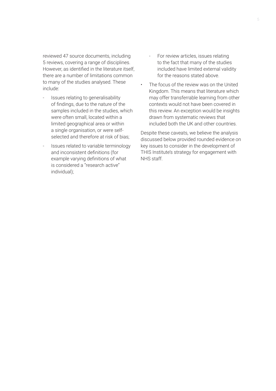reviewed 47 source documents, including 5 reviews, covering a range of disciplines. However, as identified in the literature itself, there are a number of limitations common to many of the studies analysed. These include:

- Issues relating to generalisability of findings, due to the nature of the samples included in the studies, which were often small, located within a limited geographical area or within a single organisation, or were selfselected and therefore at risk of bias;
- Issues related to variable terminology and inconsistent definitions (for example varying definitions of what is considered a "research active" individual);
- For review articles, issues relating to the fact that many of the studies included have limited external validity for the reasons stated above.
- The focus of the review was on the United Kingdom. This means that literature which may offer transferrable learning from other contexts would not have been covered in this review. An exception would be insights drawn from systematic reviews that included both the UK and other countries.

Despite these caveats, we believe the analysis discussed below provided rounded evidence on key issues to consider in the development of THIS Institute's strategy for engagement with NHS staff.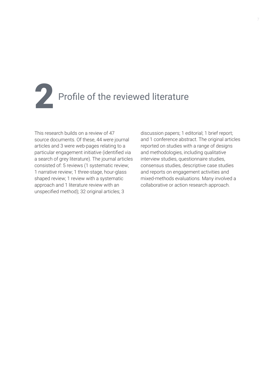# Profile of the reviewed literature

This research builds on a review of 47 source documents. Of these, 44 were journal articles and 3 were web-pages relating to a particular engagement initiative (identified via a search of grey literature). The journal articles consisted of: 5 reviews (1 systematic review; 1 narrative review; 1 three-stage, hour-glass shaped review; 1 review with a systematic approach and 1 literature review with an unspecified method); 32 original articles; 3

discussion papers; 1 editorial; 1 brief report; and 1 conference abstract. The original articles reported on studies with a range of designs and methodologies, including qualitative interview studies, questionnaire studies, consensus studies, descriptive case studies and reports on engagement activities and mixed-methods evaluations. Many involved a collaborative or action research approach.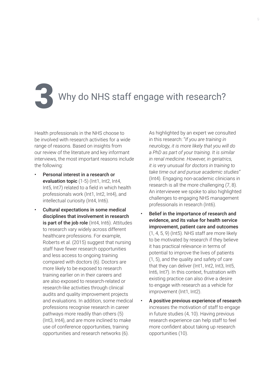# Why do NHS staff engage with research?

Health professionals in the NHS choose to be involved with research activities for a wide range of reasons. Based on insights from our review of the literature and key informant interviews, the most important reasons include the following:

- Personal interest in a research or evaluation topic (1-5) (Int1, Int2, Int4, Int5, Int7) related to a field in which health professionals work (Int1, Int2, Int4), and intellectual curiosity (Int4, Int6).
- Cultural expectations in some medical disciplines that involvement in research is part of the job role (Int4, Int6). Attitudes to research vary widely across different healthcare professions. For example, Roberts et al. (2015) suggest that nursing staff have fewer research opportunities and less access to ongoing training compared with doctors (6). Doctors are more likely to be exposed to research training earlier on in their careers and are also exposed to research-related or research-like activities through clinical audits and quality improvement projects and evaluations. In addition, some medical professions recognise research in career pathways more readily than others (5) (Int3, Int4), and are more inclined to make use of conference opportunities, training opportunities and research networks (6).

As highlighted by an expert we consulted in this research: "*If you are training in neurology, it is more likely that you will do a PhD as part of your training. It is similar in renal medicine. However, in geriatrics, it is very unusual for doctors in training to take time out and pursue academic studies"* (Int4). Engaging non-academic clinicians in research is all the more challenging (7, 8). An interviewee we spoke to also highlighted challenges to engaging NHS management professionals in research (Int6).

- Belief in the importance of research and evidence, and its value for health service improvement, patient care and outcomes (1, 4, 5, 9) (Int5). NHS staff are more likely to be motivated by research if they believe it has practical relevance in terms of potential to improve the lives of patients (1, 5), and the quality and safety of care that they can deliver (Int1, Int2, Int3, Int5, Int6, Int7). In this context, frustration with existing practice can also drive a desire to engage with research as a vehicle for improvement (Int1, Int2).
- A positive previous experience of research increases the motivation of staff to engage in future studies (4, 10). Having previous research experience can help staff to feel more confident about taking up research opportunities (10).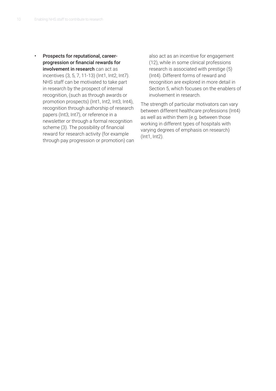• Prospects for reputational, careerprogression or financial rewards for involvement in research can act as incentives (3, 5, 7, 11-13) (Int1, Int2, Int7). NHS staff can be motivated to take part in research by the prospect of internal recognition, (such as through awards or promotion prospects) (Int1, Int2, Int3, Int4), recognition through authorship of research papers (Int3, Int7), or reference in a newsletter or through a formal recognition scheme (3). The possibility of financial reward for research activity (for example through pay progression or promotion) can also act as an incentive for engagement (12), while in some clinical professions research is associated with prestige (5) (Int4). Different forms of reward and recognition are explored in more detail in Section 5, which focuses on the enablers of involvement in research.

The strength of particular motivators can vary between different healthcare professions (Int4) as well as within them (e.g. between those working in different types of hospitals with varying degrees of emphasis on research) (Int1, Int2).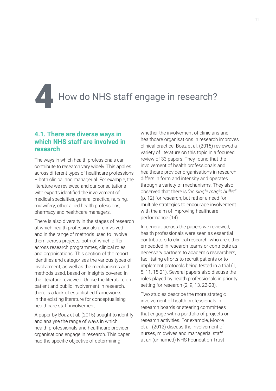How do NHS staff engage in research?

#### **4.1. There are diverse ways in which NHS staff are involved in research**

The ways in which health professionals can contribute to research vary widely. This applies across different types of healthcare professions – both clinical and managerial. For example, the literature we reviewed and our consultations with experts identified the involvement of medical specialties, general practice, nursing, midwifery, other allied health professions, pharmacy and healthcare managers.

There is also diversity in the stages of research at which health professionals are involved and in the range of methods used to involve them across projects, both of which differ across research programmes, clinical roles and organisations. This section of the report identifies and categorises the various types of involvement, as well as the mechanisms and methods used, based on insights covered in the literature reviewed. Unlike the literature on patient and public involvement in research, there is a lack of established frameworks in the existing literature for conceptualising healthcare staff involvement.

A paper by Boaz et al. (2015) sought to identify and analyse the range of ways in which health professionals and healthcare provider organisations engage in research. This paper had the specific objective of determining

whether the involvement of clinicians and healthcare organisations in research improves clinical practice. Boaz et al. (2015) reviewed a variety of literature on this topic in a focused review of 33 papers. They found that the involvement of health professionals and healthcare provider organisations in research differs in form and intensity and operates through a variety of mechanisms. They also observed that there is *"no single magic bullet"* (p. 12) for research, but rather a need for multiple strategies to encourage involvement with the aim of improving healthcare performance (14).

In general, across the papers we reviewed, health professionals were seen as essential contributors to clinical research, who are either embedded in research teams or contribute as necessary partners to academic researchers, facilitating efforts to recruit patients or to implement protocols being tested in a trial (1, 5, 11, 15-21). Several papers also discuss the roles played by health professionals in priority setting for research (2, 9, 13, 22-28).

Two studies describe the more strategic involvement of health professionals in research boards or steering committees that engage with a portfolio of projects or research activities. For example, Moore et al. (2012) discuss the involvement of nurses, midwives and managerial staff at an (unnamed) NHS Foundation Trust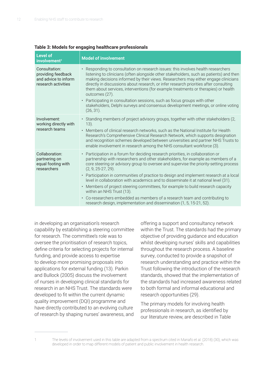| <b>Level of</b><br>involvement <sup>1</sup>                                        | <b>Model of involvement</b>                                                                                                                                                                                                                                                                                                                                                                                                                                                                                                                                                                                                                                                                                                                     |
|------------------------------------------------------------------------------------|-------------------------------------------------------------------------------------------------------------------------------------------------------------------------------------------------------------------------------------------------------------------------------------------------------------------------------------------------------------------------------------------------------------------------------------------------------------------------------------------------------------------------------------------------------------------------------------------------------------------------------------------------------------------------------------------------------------------------------------------------|
| Consultation:<br>providing feedback<br>and advice to inform<br>research activities | • Responding to consultation on research issues: this involves health researchers<br>listening to clinicians (often alongside other stakeholders, such as patients) and then<br>making decisions informed by their views. Researchers may either engage clinicians<br>directly in discussions about research, or infer research priorities after consulting<br>them about services, interventions (for example treatments or therapies) or health<br>outcomes (27).<br>• Participating in consultation sessions, such as focus groups with other<br>stakeholders, Delphi surveys and consensus development meetings, or online voting<br>$(26, 31)$ .                                                                                           |
| Involvement:<br>working directly with<br>research teams                            | · Standing members of project advisory groups, together with other stakeholders (2,<br>$13)$ .<br>• Members of clinical research networks, such as the National Institute for Health<br>Research's Comprehensive Clinical Research Network, which supports designation<br>and recognition schemes developed between universities and partner NHS Trusts to<br>enable involvement in research among the NHS consultant workforce (3).                                                                                                                                                                                                                                                                                                            |
| Collaboration:<br>partnering on<br>equal footing with<br>researchers               | • Participation in a forum for deciding research priorities, in collaboration or<br>partnership with researchers and other stakeholders, for example as members of a<br>core steering or advisory group to oversee and supervise the priority-setting process<br>$(2, 9, 25-27, 29)$ .<br>• Participation in communities of practice to design and implement research at a local<br>level in collaboration with academics and to disseminate it at national level (31).<br>• Members of project steering committees, for example to build research capacity<br>within an NHS Trust (13).<br>• Co-researchers embedded as members of a research team and contributing to<br>research design, implementation and dissemination (1, 5, 15-21, 52). |

#### **Table 3: Models for engaging healthcare professionals**

in developing an organisation's research capability by establishing a steering committee for research. The committee's role was to oversee the prioritisation of research topics, define criteria for selecting projects for internal funding, and provide access to expertise to develop more promising proposals into applications for external funding (13). Parkin and Bullock (2005) discuss the involvement of nurses in developing clinical standards for research in an NHS Trust. The standards were developed to fit within the current dynamic quality improvement (DQI) programme and have directly contributed to an evolving culture of research by shaping nurses' awareness, and

offering a support and consultancy network within the Trust. The standards had the primary objective of providing guidance and education whilst developing nurses' skills and capabilities throughout the research process. A baseline survey, conducted to provide a snapshot of research understanding and practice within the Trust following the introduction of the research standards, showed that the implementation of the standards had increased awareness related to both formal and informal educational and research opportunities (29).

The primary models for involving health professionals in research, as identified by our literature review, are described in Table

<sup>1</sup> The levels of involvement used in this table are adapted from a spectrum cited in Manafo et al. (2018) (30), which was developed in order to map different models of patient and public involvement in health research.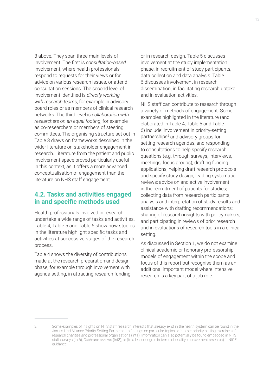3 above. They span three main levels of involvement. The first is *consultation-based* involvement, where health professionals respond to requests for their views or for advice on various research issues, or attend consultation sessions. The second level of involvement identified is *directly working with research teams*, for example in advisory board roles or as members of clinical research networks. The third level is *collaboration with researchers on an equal footing*, for example as co-researchers or members of steering committees. The organising structure set out in Table 3 draws on frameworks described in the wider literature on stakeholder engagement in research. Literature from the patient and public involvement space proved particularly useful in this context, as it offers a more advanced conceptualisation of engagement than the literature on NHS staff engagement.

#### **4.2. Tasks and activities engaged in and specific methods used**

Health professionals involved in research undertake a wide range of tasks and activities. Table 4, Table 5 and Table 6 show how studies in the literature highlight specific tasks and activities at successive stages of the research process.

Table 4 shows the diversity of contributions made at the research preparation and design phase, for example through involvement with agenda setting, in attracting research funding or in research design. Table 5 discusses involvement at the study implementation phase, in recruitment of study participants, data collection and data analysis. Table 6 discusses involvement in research dissemination, in facilitating research uptake and in evaluation activities.

NHS staff can contribute to research through a variety of methods of engagement. Some examples highlighted in the literature (and elaborated in Table 4, Table 5 and Table 6) include: involvement in priority-setting partnerships<sup>2</sup> and advisory groups for setting research agendas, and responding to consultations to help specify research questions (e.g. through surveys, interviews, meetings, focus groups); drafting funding applications; helping draft research protocols and specify study design; leading systematic reviews; advice on and active involvement in the recruitment of patients for studies; collecting data from research participants; analysis and interpretation of study results and assistance with drafting recommendations; sharing of research insights with policymakers; and participating in reviews of prior research and in evaluations of research tools in a clinical setting.

As discussed in Section 1, we do not examine clinical academic or honorary professorship models of engagement within the scope and focus of this report but recognise them as an additional important model where intensive research is a key part of a job role.

<sup>2</sup> Some examples of insights on NHS staff research interests that already exist in the health system can be found in the James Lind Alliance Priority Setting Partnership's findings on particular topics or in other priority-setting exercises of research charities and professional organisations (Int1). Information can also potentially be found embedded in NHS staff surveys (Int6), Cochrane reviews (Int3), or (to a lesser degree in terms of quality improvement research) in NICE guidance.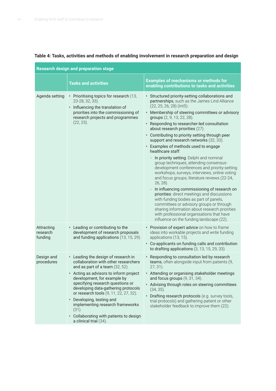| <b>Research design and preparation stage</b> |                                                                                                                                                                                                                                                                                                                                                                                                                                                           |                                                                                                                                                                                                                                                                                                                                                                                                                                                                                                                                                                                                                                                                                                                                                                                                                                                                                                                                                                                                                                                                         |
|----------------------------------------------|-----------------------------------------------------------------------------------------------------------------------------------------------------------------------------------------------------------------------------------------------------------------------------------------------------------------------------------------------------------------------------------------------------------------------------------------------------------|-------------------------------------------------------------------------------------------------------------------------------------------------------------------------------------------------------------------------------------------------------------------------------------------------------------------------------------------------------------------------------------------------------------------------------------------------------------------------------------------------------------------------------------------------------------------------------------------------------------------------------------------------------------------------------------------------------------------------------------------------------------------------------------------------------------------------------------------------------------------------------------------------------------------------------------------------------------------------------------------------------------------------------------------------------------------------|
|                                              | <b>Tasks and activities</b>                                                                                                                                                                                                                                                                                                                                                                                                                               | <b>Examples of mechanisms or methods for</b><br>enabling contributions to tasks and activities                                                                                                                                                                                                                                                                                                                                                                                                                                                                                                                                                                                                                                                                                                                                                                                                                                                                                                                                                                          |
| Agenda setting                               | • Prioritising topics for research (13,<br>23-28, 32, 33).<br>• Influencing the translation of<br>priorities into the commissioning of<br>research projects and programmes<br>$(22, 25)$ .                                                                                                                                                                                                                                                                | • Structured priority-setting collaborations and<br>partnerships, such as the James Lind Alliance<br>(22, 25, 26, 28) (Int5).<br>• Membership of steering committees or advisory<br>groups (2, 9, 13, 22, 28).<br>• Responding to researcher-led consultation<br>about research priorities (27).<br>• Contributing to priority setting through peer<br>support and research networks (32, 33).<br>• Examples of methods used to engage<br>healthcare staff:<br>In priority setting: Delphi and nominal<br>$\overline{\phantom{a}}$<br>group techniques; attending consensus-<br>development conferences and priority-setting<br>workshops; surveys, interviews, online voting<br>and focus groups; literature reviews (22-24,<br>26, 28).<br>In influencing commissioning of research on<br>priorities: direct meetings and discussions<br>with funding bodies as part of panels,<br>committees or advisory groups or through<br>sharing information about research priorities<br>with professional organisations that have<br>influence on the funding landscape (22). |
| Attracting<br>research<br>funding            | • Leading or contributing to the<br>development of research proposals<br>and funding applications (13, 15, 29).                                                                                                                                                                                                                                                                                                                                           | • Provision of expert advice on how to frame<br>ideas into workable projects and write funding<br>applications (13, 15).<br>• Co-applicants on funding calls and contribution<br>to drafting applications (3, 13, 15, 29, 33).                                                                                                                                                                                                                                                                                                                                                                                                                                                                                                                                                                                                                                                                                                                                                                                                                                          |
| Design and<br>procedures                     | • Leading the design of research in<br>collaboration with other researchers<br>and as part of a team (32, 52).<br>Acting as advisors to inform project<br>development, for example by<br>specifying research questions or<br>developing data-gathering protocols<br>or research tools (9, 11, 22, 27, 32).<br>• Developing, testing and<br>implementing research frameworks<br>(31).<br>• Collaborating with patients to design<br>a clinical trial (34). | • Responding to consultation led by research<br>teams, often alongside input from patients (9,<br>$27, 31$ ).<br>• Attending or organising stakeholder meetings<br>and focus groups $(9, 31, 34)$ .<br>• Advising through roles on steering committees<br>$(34, 35)$ .<br>• Drafting research protocols (e.g. survey tools,<br>trial protocols) and gathering patient or other<br>stakeholder feedback to improve them (22).                                                                                                                                                                                                                                                                                                                                                                                                                                                                                                                                                                                                                                            |

#### **Table 4: Tasks, activities and methods of enabling involvement in research preparation and design**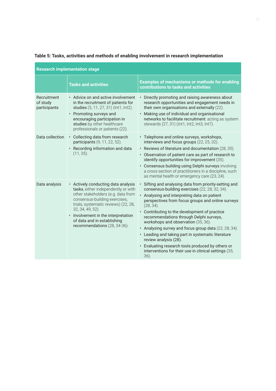| <b>Research implementation stage</b>    |                                                                                                                                                                                                                                                                                                                     |                                                                                                                                                                                                                                                                                                                                                                                                                                                                                                                                                                                                                                              |
|-----------------------------------------|---------------------------------------------------------------------------------------------------------------------------------------------------------------------------------------------------------------------------------------------------------------------------------------------------------------------|----------------------------------------------------------------------------------------------------------------------------------------------------------------------------------------------------------------------------------------------------------------------------------------------------------------------------------------------------------------------------------------------------------------------------------------------------------------------------------------------------------------------------------------------------------------------------------------------------------------------------------------------|
|                                         | <b>Tasks and activities</b>                                                                                                                                                                                                                                                                                         | <b>Examples of mechanisms or methods for enabling</b><br>contributions to tasks and activities                                                                                                                                                                                                                                                                                                                                                                                                                                                                                                                                               |
| Recruitment<br>of study<br>participants | • Advice on and active involvement<br>in the recruitment of patients for<br>studies (5, 11, 27, 31) (Int1, Int2).<br>• Promoting surveys and<br>encouraging participation in<br>studies by other healthcare<br>professionals or patients (22).                                                                      | • Directly promoting and raising awareness about<br>research opportunities and engagement needs in<br>their own organisations and externally (22).<br>• Making use of individual and organisational<br>networks to facilitate recruitment: acting as system<br>stewards (27, 31) (Int1, Int2, Int3, Int7).                                                                                                                                                                                                                                                                                                                                   |
| Data collection                         | • Collecting data from research<br>participants (9, 11, 22, 52).<br>• Recording information and data<br>$(11, 35)$ .                                                                                                                                                                                                | • Telephone and online surveys, workshops,<br>interviews and focus groups (22, 25, 32).<br>• Reviews of literature and documentation (28, 35).<br>• Observation of patient care as part of research to<br>identify opportunities for improvement (35).<br>• Consensus building using Delphi surveys involving<br>a cross-section of practitioners in a discipline, such<br>as mental health or emergency care (23, 24).                                                                                                                                                                                                                      |
| Data analysis                           | • Actively conducting data analysis<br>tasks, either independently or with<br>other stakeholders (e.g. data from<br>consensus-building exercises,<br>trials, systematic reviews) (22, 28,<br>32, 34, 49, 52).<br>• Involvement in the interpretation<br>of data and in establishing<br>recommendations (28, 34-36). | Sifting and analysing data from priority-setting and<br>$\bullet$<br>consensus-building exercises (22, 28, 32, 34).<br>• Analysing and interpreting data on patient<br>perspectives from focus groups and online surveys<br>$(28, 34)$ .<br>• Contributing to the development of practice<br>recommendations through Delphi surveys,<br>workshops and observation (35, 36).<br>• Analysing survey and focus group data (22, 28, 34).<br>• Leading and taking part in systematic literature<br>review analysis (28).<br>• Evaluating research tools produced by others or<br>interventions for their use in clinical settings (35,<br>$36)$ . |

#### **Table 5: Tasks, activities and methods of enabling involvement in research implementation**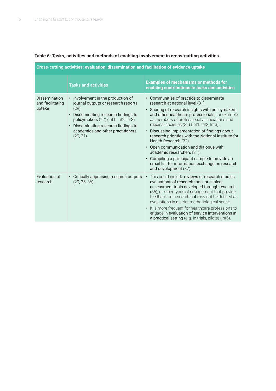#### **Table 6: Tasks, activities and methods of enabling involvement in cross-cutting activities**

**Cross-cutting activities: evaluation, dissemination and facilitation of evidence uptake**

|                                                    | <b>Tasks and activities</b>                                                                                                                                                                                                                                                    | <b>Examples of mechanisms or methods for</b><br>enabling contributions to tasks and activities                                                                                                                                                                                                                                                                                                                                                                                                                                                                                                                                     |
|----------------------------------------------------|--------------------------------------------------------------------------------------------------------------------------------------------------------------------------------------------------------------------------------------------------------------------------------|------------------------------------------------------------------------------------------------------------------------------------------------------------------------------------------------------------------------------------------------------------------------------------------------------------------------------------------------------------------------------------------------------------------------------------------------------------------------------------------------------------------------------------------------------------------------------------------------------------------------------------|
| <b>Dissemination</b><br>and facilitating<br>uptake | • Involvement in the production of<br>journal outputs or research reports<br>$(29)$ .<br>Disseminating research findings to<br>$\bullet$<br>policymakers (22) (Int1, Int2, Int3).<br>• Disseminating research findings to<br>academics and other practitioners<br>$(29, 31)$ . | • Communities of practice to disseminate<br>research at national level (31).<br>• Sharing of research insights with policymakers<br>and other healthcare professionals, for example<br>as members of professional associations and<br>medical societies (22) (Int1, Int2, Int3).<br>Discussing implementation of findings about<br>$\bullet$<br>research priorities with the National Institute for<br>Health Research (22).<br>• Open communication and dialogue with<br>academic researchers (31).<br>• Compiling a participant sample to provide an<br>email list for information exchange on research<br>and development (32). |
| Evaluation of<br>research                          | • Critically appraising research outputs<br>(29, 35, 36).                                                                                                                                                                                                                      | This could include reviews of research studies.<br>evaluations of research tools or clinical<br>assessment tools developed through research<br>(36), or other types of engagement that provide<br>feedback on research but may not be defined as<br>evaluations in a strict methodological sense.<br>• It is more frequent for healthcare professions to<br>engage in evaluation of service interventions in<br>a practical setting (e.g. in trials, pilots) (Int5).                                                                                                                                                               |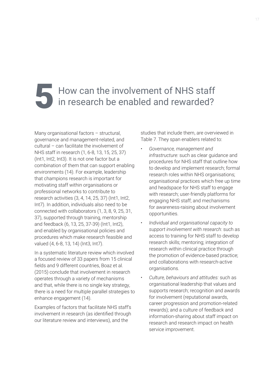## How can the involvement of NHS staff<br>in research be enabled and rewarded?

Many organisational factors – structural, governance and management-related, and cultural – can facilitate the involvement of NHS staff in research (1, 6-8, 13, 15, 25, 37) (Int1, Int2, Int3). It is not one factor but a combination of them that can support enabling environments (14). For example, leadership that champions research is important for motivating staff within organisations or professional networks to contribute to research activities (3, 4, 14, 25, 37) (Int1, Int2, Int7). In addition, individuals also need to be connected with collaborators (1, 3, 8, 9, 25, 31, 37), supported through training, mentorship and feedback (6, 13, 25, 37-39) (Int1, Int2), and enabled by organisational policies and procedures which make research feasible and valued (4, 6-8, 13, 14) (Int3, Int7).

In a systematic literature review which involved a focused review of 33 papers from 15 clinical fields and 9 different countries, Boaz et al. (2015) conclude that involvement in research operates through a variety of mechanisms and that, while there is no single key strategy, there is a need for multiple parallel strategies to enhance engagement (14).

Examples of factors that facilitate NHS staff's involvement in research (as identified through our literature review and interviews), and the

studies that include them, are overviewed in Table 7. They span enablers related to:

- *• Governance, management and infrastructure:* such as clear guidance and procedures for NHS staff that outline how to develop and implement research; formal research roles within NHS organisations; organisational practices which free up time and headspace for NHS staff to engage with research; user-friendly platforms for engaging NHS staff; and mechanisms for awareness-raising about involvement opportunities.
- *• Individual and organisational capacity to support involvement with research:* such as access to training for NHS staff to develop research skills; mentoring; integration of research within clinical practice through the promotion of evidence-based practice; and collaborations with research-active organisations.
- *• Culture, behaviours and attitudes:* such as organisational leadership that values and supports research; recognition and awards for involvement (reputational awards, career progression and promotion-related rewards); and a culture of feedback and information-sharing about staff impact on research and research impact on health service improvement.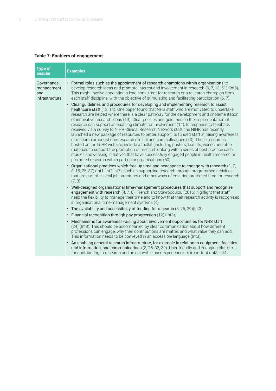#### **Table 7: Enablers of engagement**

| <b>Type of</b><br>enabler                          | <b>Examples</b>                                                                                                                                                                                                                                                                                                                                                                                                                                                                                                                                                                                                                                                                                                                                                                                                                                                                                                                                                                                                  |
|----------------------------------------------------|------------------------------------------------------------------------------------------------------------------------------------------------------------------------------------------------------------------------------------------------------------------------------------------------------------------------------------------------------------------------------------------------------------------------------------------------------------------------------------------------------------------------------------------------------------------------------------------------------------------------------------------------------------------------------------------------------------------------------------------------------------------------------------------------------------------------------------------------------------------------------------------------------------------------------------------------------------------------------------------------------------------|
| Governance,<br>management<br>and<br>infrastructure | • Formal roles such as the appointment of research champions within organisations to<br>develop research ideas and promote interest and involvement in research (6, 7, 13, 51) (Int3).<br>This might involve appointing a lead consultant for research or a research champion from<br>each staff discipline, with the objective of stimulating and facilitating participation (6, 7).<br>• Clear guidelines and procedures for developing and implementing research to assist                                                                                                                                                                                                                                                                                                                                                                                                                                                                                                                                    |
|                                                    | healthcare staff (13, 14). One paper found that NHS staff who are motivated to undertake<br>research are helped where there is a clear pathway for the development and implementation<br>of innovative research ideas (13). Clear policies and guidance on the implementation of<br>research can support an enabling climate for involvement (14). In response to feedback<br>received via a survey to NIHR Clinical Research Network staff, the NIHR has recently<br>launched a new package of resources to better support its funded staff in raising awareness<br>of research amongst non-research clinical and care colleagues (40). These resources,<br>hosted on the NIHR website, include a toolkit (including posters, leaflets, videos and other<br>materials to support the promotion of research), along with a series of best practice case<br>studies showcasing initiatives that have successfully engaged people in health research or<br>promoted research within particular organisations (50). |
|                                                    | • Organisational practices which free up time and headspace to engage with research $(1, 7, 7)$<br>8, 15, 25, 37) (Int1, Int2, Int7), such as supporting research through programmed activities<br>that are part of clinical job structures and other ways of ensuring protected time for research<br>$(7, 8)$ .                                                                                                                                                                                                                                                                                                                                                                                                                                                                                                                                                                                                                                                                                                 |
|                                                    | • Well-designed organisational time-management procedures that support and recognise<br>engagement with research (4, 7, 8). French and Stavropoulou (2016) highlight that staff<br>need the flexibility to manage their time and to know that their research activity is recognised<br>in organisational time-management systems (4).                                                                                                                                                                                                                                                                                                                                                                                                                                                                                                                                                                                                                                                                            |
|                                                    | • The availability and accessibility of funding for research (8, 25, 39)(Int3).                                                                                                                                                                                                                                                                                                                                                                                                                                                                                                                                                                                                                                                                                                                                                                                                                                                                                                                                  |
|                                                    | • Financial recognition through pay progression (12) (Int3).                                                                                                                                                                                                                                                                                                                                                                                                                                                                                                                                                                                                                                                                                                                                                                                                                                                                                                                                                     |
|                                                    | • Mechanisms for awareness-raising about involvement opportunities for NHS staff<br>(24) (Int3). This should be accompanied by clear communication about how different<br>professions can engage, why their contributions are matter, and what value they can add.<br>This information needs to be conveyed in an accessible language (Int3).                                                                                                                                                                                                                                                                                                                                                                                                                                                                                                                                                                                                                                                                    |
|                                                    | • An enabling general research infrastructure, for example in relation to equipment, facilities<br>and information, and communications (8, 25, 33, 39). User-friendly and engaging platforms<br>for contributing to research and an enjoyable user experience are important (Int3, Int4).                                                                                                                                                                                                                                                                                                                                                                                                                                                                                                                                                                                                                                                                                                                        |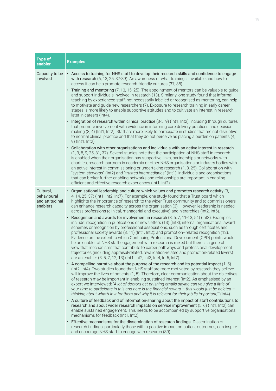| <b>Type of</b><br>enabler                               | <b>Examples</b>                                                                                                                                                                                                                                                                                                                                                                                                                                                                                                                                                                                                                                                                                                                                                                                                                                                                                                                                                                                                                                                                                                                                                                                                                                                                                                                                                                                                                                                                                                                                                                                                                                                                                                                                                                                                                                                                                                                                                                                                                                                                                                                                                                                                                                                                                                                                                                                                                                                                                                                                                                                                    |
|---------------------------------------------------------|--------------------------------------------------------------------------------------------------------------------------------------------------------------------------------------------------------------------------------------------------------------------------------------------------------------------------------------------------------------------------------------------------------------------------------------------------------------------------------------------------------------------------------------------------------------------------------------------------------------------------------------------------------------------------------------------------------------------------------------------------------------------------------------------------------------------------------------------------------------------------------------------------------------------------------------------------------------------------------------------------------------------------------------------------------------------------------------------------------------------------------------------------------------------------------------------------------------------------------------------------------------------------------------------------------------------------------------------------------------------------------------------------------------------------------------------------------------------------------------------------------------------------------------------------------------------------------------------------------------------------------------------------------------------------------------------------------------------------------------------------------------------------------------------------------------------------------------------------------------------------------------------------------------------------------------------------------------------------------------------------------------------------------------------------------------------------------------------------------------------------------------------------------------------------------------------------------------------------------------------------------------------------------------------------------------------------------------------------------------------------------------------------------------------------------------------------------------------------------------------------------------------------------------------------------------------------------------------------------------------|
| Capacity to be<br>involved                              | • Access to training for NHS staff to develop their research skills and confidence to engage<br>with research (6, 13, 25, 37-39). An awareness of what training is available and how to<br>access it can help promote research-friendly cultures (37, 38).<br>• Training and mentoring (7, 13, 15, 25). The appointment of mentors can be valuable to guide<br>and support individuals involved in research (13). Similarly, one study found that informal<br>teaching by experienced staff, not necessarily labelled or recognised as mentoring, can help<br>to motivate and guide new researchers (7). Exposure to research training in early career<br>stages is more likely to enable supportive attitudes and to cultivate an interest in research<br>later in careers (Int4).<br>• Integration of research within clinical practice (3-5, 9) (Int1, Int2), including through cultures<br>that promote involvement with evidence in informing care delivery practices and decision<br>making (3, 4) (Int1, Int2). Staff are more likely to participate in studies that are not disruptive<br>to normal clinical practice and that they do not perceive as placing a burden on patients (4,<br>9) (Int1, Int2).<br>• Collaboration with other organisations and individuals with an active interest in research<br>(1, 3, 8, 9, 25, 31, 37). Several studies note that the participation of NHS staff in research<br>is enabled when their organisation has supportive links, partnerships or networks with<br>charities, research partners in academia or other NHS organisations or industry bodies with<br>an active interest in commissioning or undertaking research (1, 3, 25). Collaboration with<br>"system stewards" (Int2) and "trusted intermediaries" (Int1), individuals and organisations                                                                                                                                                                                                                                                                                                                                                                                                                                                                                                                                                                                                                                                                                                                                                                                                        |
|                                                         | that can broker further enabling networks and relationships are important in enabling<br>efficient and effective research experiences (Int1, Int2).                                                                                                                                                                                                                                                                                                                                                                                                                                                                                                                                                                                                                                                                                                                                                                                                                                                                                                                                                                                                                                                                                                                                                                                                                                                                                                                                                                                                                                                                                                                                                                                                                                                                                                                                                                                                                                                                                                                                                                                                                                                                                                                                                                                                                                                                                                                                                                                                                                                                |
| Cultural,<br>behavioural<br>and attitudinal<br>enablers | · Organisational leadership and culture which values and promotes research activity (3,<br>4, 14, 25, 37) (Int1, Int2, Int7). For example, one study found that a Trust board which<br>highlights the importance of research to the wider Trust community and to commissioners<br>can enhance research capacity across the organisation (3). However, leadership is needed<br>across professions (clinical, managerial and executive) and hierarchies (Int2, Int6).<br>Recognition and awards for involvement in research (3, 5, 7, 11-13, 54) (Int3). Examples<br>$\bullet$<br>include: recognition in publications or newsletters (13) (Int3); internal organisational award<br>schemes or recognition by professional associations, such as through certificates and<br>professional society awards (3, 11) (Int1, Int2); and promotion-related recognition (12).<br>Evidence on the extent to which Continuing Professional Development (CPD) points would<br>be an enabler of NHS staff engagement with research is mixed but there is a general<br>view that mechanisms that contribute to career pathways and professional development<br>trajectories (including appraisal-related, revalidation-related and promotion-related levers)<br>are an enabler (3, 5, 7, 12, 13) (Int1, Int2, Int3, Int4, Int5, Int7).<br>• A compelling narrative about the purpose of the research and its potential impact $(1, 5)$<br>(Int2, Int4). Two studies found that NHS staff are more motivated by research they believe<br>will improve the lives of patients (1, 5). Therefore, clear communication about the objectives<br>of research may be important in enabling sustained interest (Int2). As emphasised by an<br>expert we interviewed: "A lot of doctors get phishing emails saying can you give a little of<br>your time to participate in this and here is the financial reward $-$ this would just be deleted $-$<br>thinking about what's in it for them and why it is relevant for their job [is important]." (Int4).<br>• A culture of feedback and of information-sharing about the impact of staff contributions to<br>research and about wider research impacts on service improvement (5, 6) (lnt1, lnt2) can<br>enable sustained engagement. This needs to be accompanied by supportive organisational<br>mechanisms for feedback (Int1, Int2).<br>• Effective mechanisms for the dissemination of research findings. Dissemination of<br>research findings, particularly those with a positive impact on patient outcomes, can inspire<br>and encourage NHS staff to engage with research (39). |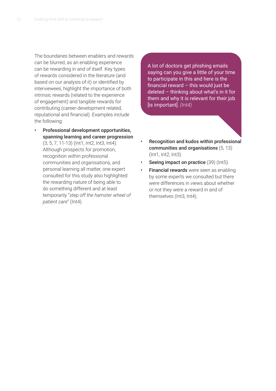The boundaries between enablers and rewards can be blurred, as an enabling experience can be rewarding in and of itself. Key types of rewards considered in the literature (and based on our analysis of it) or identified by interviewees, highlight the importance of both intrinsic rewards (related to the experience of engagement) and tangible rewards for contributing (career-development related, reputational and financial). Examples include the following:

• Professional development opportunities, spanning learning and career progression (3, 5, 7, 11-13) (Int1, Int2, Int3, Int4). Although prospects for promotion, recognition within professional communities and organisations, and personal learning all matter, one expert consulted for this study also highlighted the rewarding nature of being able to do something different and at least temporarily "*step off the hamster wheel of patient care*" (Int4).

A lot of doctors get phishing emails saying can you give a little of your time to participate in this and here is the financial reward  $-$  this would just be deleted – thinking about what's in it for them and why it is relevant for their job [is important]*. (Int4)*

- Recognition and kudos within professional communities and organisations (5, 13) (Int1, Int2, Int3).
- Seeing impact on practice (39) (Int5).
- **Financial rewards** were seen as enabling by some experts we consulted but there were differences in views about whether or not they were a reward in and of themselves (Int3, Int4).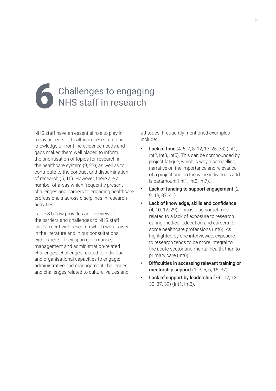# Challenges to engaging<br>NHS staff in research

NHS staff have an essential role to play in many aspects of healthcare research. Their knowledge of frontline evidence needs and gaps makes them well placed to inform the prioritisation of topics for research in the healthcare system (9, 27), as well as to contribute to the conduct and dissemination of research (5, 16). However, there are a number of areas which frequently present challenges and barriers to engaging healthcare professionals across disciplines in research activities.

Table 8 below provides an overview of the barriers and challenges to NHS staff involvement with research which were raised in the literature and in our consultations with experts. They span governance, management and administration-related challenges; challenges related to individual and organisational capacities to engage; administrative and management challenges; and challenges related to culture, values and

attitudes. Frequently mentioned examples include:

- **Lack of time** (4, 5, 7, 8, 12, 13, 25, 33) (Int1, Int2, Int3, Int5). This can be compounded by project fatigue, which is why a compelling narrative on the importance and relevance of a project and on the value individuals add is paramount (Int1, Int2, Int7).
- Lack of funding to support engagement  $(2, 1)$ 9, 13, 37, 41).
- Lack of knowledge, skills and confidence (4, 10, 12, 29). This is also sometimes related to a lack of exposure to research during medical education and careers for some healthcare professions (Int6). As highlighted by one interviewee, exposure to research tends to be more integral to the acute sector and mental health, than to primary care (Int6).
- Difficulties in accessing relevant training or mentorship support (1, 3, 5, 6, 15, 37).
- Lack of support by leadership (3-6, 12, 13, 33, 37, 39) (Int1, Int3).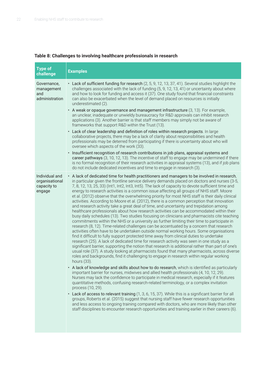## **Table 8: Challenges to involving healthcare professionals in research**

| <b>Type of</b><br>challenge                               | <b>Examples</b>                                                                                                                                                                                                                                                                                                                                                                                                                                                                                                                                                                                                                                                                                                                                                                                                                                                                                                                                                                                                                                                                                                                                                                                                                                                                                                                                                                                                                                                                                                                                                                                                                                                                                                                                                                                                                                                                                                                                                                                                                                                                                                                                                                                                                                                                                                                                                                                                                                                                                  |
|-----------------------------------------------------------|--------------------------------------------------------------------------------------------------------------------------------------------------------------------------------------------------------------------------------------------------------------------------------------------------------------------------------------------------------------------------------------------------------------------------------------------------------------------------------------------------------------------------------------------------------------------------------------------------------------------------------------------------------------------------------------------------------------------------------------------------------------------------------------------------------------------------------------------------------------------------------------------------------------------------------------------------------------------------------------------------------------------------------------------------------------------------------------------------------------------------------------------------------------------------------------------------------------------------------------------------------------------------------------------------------------------------------------------------------------------------------------------------------------------------------------------------------------------------------------------------------------------------------------------------------------------------------------------------------------------------------------------------------------------------------------------------------------------------------------------------------------------------------------------------------------------------------------------------------------------------------------------------------------------------------------------------------------------------------------------------------------------------------------------------------------------------------------------------------------------------------------------------------------------------------------------------------------------------------------------------------------------------------------------------------------------------------------------------------------------------------------------------------------------------------------------------------------------------------------------------|
| Governance,<br>management<br>and<br>administration        | • Lack of sufficient funding for research (2, 5, 9, 12, 13, 37, 41). Several studies highlight the<br>challenges associated with the lack of funding (5, 9, 12, 13, 41) or uncertainty about where<br>and how to look for funding and access it (37). One study found that financial constraints<br>can also be exacerbated when the level of demand placed on resources is initially<br>underestimated (2).<br>• A weak or opaque governance and management infrastructure (3, 13). For example,<br>an unclear, inadequate or unwieldy bureaucracy for R&D approvals can inhibit research<br>applications (3). Another barrier is that staff members may simply not be aware of<br>frameworks that support R&D within the Trust (13).<br>• Lack of clear leadership and definition of roles within research projects. In large<br>collaborative projects, there may be a lack of clarity about responsibilities and health<br>professionals may be deterred from participating if there is uncertainty about who will<br>oversee which aspects of the work (33).<br>· Insufficient recognition of research contributions in job plans, appraisal systems and<br>career pathways (3, 10, 12, 13). The incentive of staff to engage may be undermined if there<br>is no formal recognition of their research activities in appraisal systems (13), and if job plans<br>do not include dedicated incentives and time to engage in research (3).                                                                                                                                                                                                                                                                                                                                                                                                                                                                                                                                                                                                                                                                                                                                                                                                                                                                                                                                                                                                                                                    |
| Individual and<br>organisational<br>capacity to<br>engage | • A lack of dedicated time for health practitioners and managers to be involved in research,<br>in particular given the frontline service delivery demands placed on doctors and nurses (3-5,<br>7, 8, 12, 13, 25, 33) (Int1, Int2, Int3, Int5). The lack of capacity to devote sufficient time and<br>energy to research activities is a common issue affecting all groups of NHS staff. Moore<br>et al. (2012) observe that the overwhelming priority for most NHS staff is their daily clinical<br>activities. According to Moore et al. (2012), there is a common perception that innovation<br>and research activity take a great deal of time, and uncertainty and trepidation among<br>healthcare professionals about how research activities can be accommodated within their<br>busy daily schedules (13). Two studies focusing on clinicians and pharmacists cite teaching<br>commitments within the NHS or a university as further limiting their time to participate in<br>research (8, 12). Time-related challenges can be accentuated by a concern that research<br>activities often have to be undertaken outside normal working hours. Some organisations<br>find it difficult to fully support protected time away from clinical duties to undertake<br>research (25). A lack of dedicated time for research activity was seen in one study as a<br>significant barrier, supporting the notion that research is additional rather than part of one's<br>usual role (37). A study looking at pharmacists found that many pharmacists, across diverse<br>roles and backgrounds, find it challenging to engage in research within regular working<br>hours (33).<br>• A lack of knowledge and skills about how to do research, which is identified as particularly<br>important barrier for nurses, midwives and allied health professionals (4, 10, 12, 29).<br>Nurses may lack the confidence to participate in medical research, especially if it features<br>quantitative methods, confusing research-related terminology, or a complex invitation<br>process (10, 29).<br>• Lack of access to relevant training (1, 3, 6, 15, 37). While this is a significant barrier for all<br>groups, Roberts et al. (2015) suggest that nursing staff have fewer research opportunities<br>and less access to ongoing training compared with doctors, who are more likely than other<br>staff disciplines to encounter research opportunities and training earlier in their careers (6). |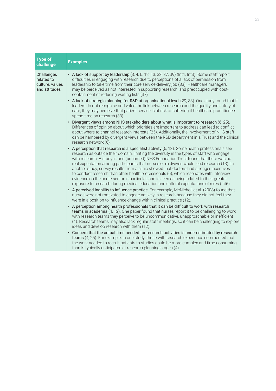| <b>Type of</b><br>challenge                                  | <b>Examples</b>                                                                                                                                                                                                                                                                                                                                                                                                                                                                                                                                                                                                                                                                                                                                                                                                                                                                                                                                                                                                                                                                                                                                      |
|--------------------------------------------------------------|------------------------------------------------------------------------------------------------------------------------------------------------------------------------------------------------------------------------------------------------------------------------------------------------------------------------------------------------------------------------------------------------------------------------------------------------------------------------------------------------------------------------------------------------------------------------------------------------------------------------------------------------------------------------------------------------------------------------------------------------------------------------------------------------------------------------------------------------------------------------------------------------------------------------------------------------------------------------------------------------------------------------------------------------------------------------------------------------------------------------------------------------------|
| Challenges<br>related to<br>culture, values<br>and attitudes | • A lack of support by leadership (3, 4, 6, 12, 13, 33, 37, 39) (Int1, Int3). Some staff report<br>difficulties in engaging with research due to perceptions of a lack of permission from<br>leadership to take time from their core service-delivery job (33). Healthcare managers<br>may be perceived as not interested in supporting research, and preoccupied with cost-<br>containment or reducing waiting lists (37).<br>• A lack of strategic planning for R&D at organisational level (29, 33). One study found that if<br>leaders do not recognise and value the link between research and the quality and safety of<br>care, they may perceive that patient service is at risk of suffering if healthcare practitioners<br>spend time on research (33).<br>· Divergent views among NHS stakeholders about what is important to research (6, 25).<br>Differences of opinion about which priorities are important to address can lead to conflict<br>about where to channel research interests (25). Additionally, the involvement of NHS staff<br>can be hampered by divergent views between the R&D department in a Trust and the clinical |
|                                                              | research network (6).<br>• A perception that research is a specialist activity $(6, 13)$ . Some health professionals see<br>research as outside their domain, limiting the diversity in the types of staff who engage<br>with research. A study in one (unnamed) NHS Foundation Trust found that there was no<br>real expectation among participants that nurses or midwives would lead research (13). In<br>another study, survey results from a clinic showed that doctors had stronger incentives<br>to conduct research than other health professionals (6), which resonates with interview<br>evidence on the acute sector in particular, and is seen as being related to their greater<br>exposure to research during medical education and cultural expectations of roles (Int6).<br>• A perceived inability to influence practice. For example, McNicholl et al. (2008) found that<br>nurses were not motivated to engage actively in research because they did not feel they                                                                                                                                                                |
|                                                              | were in a position to influence change within clinical practice (12).<br>• A perception among health professionals that it can be difficult to work with research<br>teams in academia (4, 12). One paper found that nurses report it to be challenging to work<br>with research teams they perceive to be uncommunicative, unapproachable or inefficient<br>(4). Research teams may also lack regular staff meetings, so it can be challenging to explore<br>ideas and develop research with them (12).<br>• Concern that the actual time needed for research activities is underestimated by research<br>teams (4, 25). For example, in one study, those with research experience commented that<br>the work needed to recruit patients to studies could be more complex and time-consuming<br>than is typically anticipated at research planning stages (4).                                                                                                                                                                                                                                                                                      |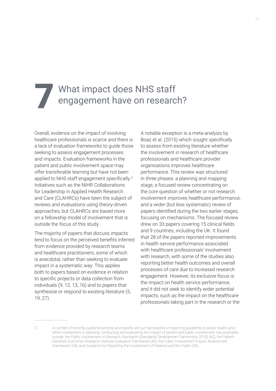# What impact does NHS staff<br>engagement have on research?

Overall, evidence on the impact of involving healthcare professionals is scarce and there is a lack of evaluation frameworks to guide those seeking to assess engagement processes and impacts. Evaluation frameworks in the patient and public involvement space may offer transferable learning but have not been applied to NHS staff engagement specifically.<sup>3</sup> Initiatives such as the NIHR Collaborations for Leadership in Applied Health Research and Care (CLAHRCs) have been the subject of reviews and evaluations using theory-driven approaches, but CLAHRCs are based more on a fellowship model of involvement that is outside the focus of this study.

The majority of papers that discuss impacts tend to focus on the perceived benefits inferred from evidence provided by research teams and healthcare practitioners, some of which is anecdotal, rather than seeking to evaluate impact in a systematic way. This applies both to papers based on evidence in relation to specific projects or data collection from individuals (9, 12, 13, 16) and to papers that synthesise or respond to existing literature (5, 19, 27).

A notable exception is a meta-analysis by Boaz et al. (2015) which sought specifically to assess from existing literature whether the involvement in research of healthcare professionals and healthcare provider organisations improves healthcare performance. This review was structured in three phases: a planning and mapping stage, a focused review concentrating on the core question of whether or not research involvement improves healthcare performance, and a wider (but less systematic) review of papers identified during the two earlier stages, focusing on mechanisms. The focused review drew on 33 papers covering 15 clinical fields and 9 countries, including the UK. It found that 28 of the papers reported improvements in health service performance associated with healthcare professionals' involvement with research, with some of the studies also reporting better health outcomes and overall processes of care due to increased research engagement. However, its exclusive focus is the impact on health service performance, and it did not seek to identify wider potential impacts, such as the impact on the healthcare professionals taking part in the research or the

<sup>3</sup> A number of recently published articles and reports set out frameworks or reporting guidelines to assist health (and other) researchers in planning, conducting and evaluating the impact of patient and public involvement. Key examples include: the Public Involvement in Research Standards (Standards Development Partnership 2018) (42), the Patient-Centered Outcomes Research Institute Evaluation framework (43), the Public Involvement Impact Assessment Framework (44), and Guidance for Reporting the Involvement of Patients and the Public (45).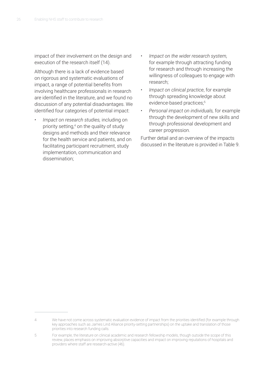impact of their involvement on the design and execution of the research itself (14).

Although there is a lack of evidence based on rigorous and systematic evaluations of impact, a range of potential benefits from involving healthcare professionals in research are identified in the literature, and we found no discussion of any potential disadvantages. We identified four categories of potential impact:

- *• Impact on research studies,* including on priority setting,<sup>4</sup> on the quality of study designs and methods and their relevance for the health service and patients, and on facilitating participant recruitment, study implementation, communication and dissemination;
- *• Impact on the wider research system,*  for example through attracting funding for research and through increasing the willingness of colleagues to engage with research;
- *• Impact on clinical practice*, for example through spreading knowledge about evidence-based practices;<sup>5</sup>
- *• Personal impact on individuals,* for example through the development of new skills and through professional development and career progression.

Further detail and an overview of the impacts discussed in the literature is provided in Table 9.

<sup>4</sup> We have not come across systematic evaluation evidence of impact from the priorities identified (for example through key approaches such as James Lind Alliance priority-setting partnerships) on the uptake and translation of those priorities into research funding calls.

<sup>5</sup> For example, the literature on clinical academic and research fellowship models, though outside the scope of this review, places emphasis on improving absorptive capacities and impact on improving reputations of hospitals and providers where staff are research-active (46).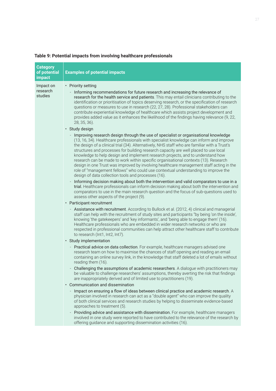| <b>Category</b><br>of potential<br>impact | <b>Examples of potential impacts</b>                                                                                                                                                                                                                                                                                                                                                                                                                                                                                                                                                                                                                                                                                                                                                                                                                                                 |
|-------------------------------------------|--------------------------------------------------------------------------------------------------------------------------------------------------------------------------------------------------------------------------------------------------------------------------------------------------------------------------------------------------------------------------------------------------------------------------------------------------------------------------------------------------------------------------------------------------------------------------------------------------------------------------------------------------------------------------------------------------------------------------------------------------------------------------------------------------------------------------------------------------------------------------------------|
| Impact on<br>research<br>studies          | • Priority setting<br>Informing recommendations for future research and increasing the relevance of<br>research for the health service and patients. This may entail clinicians contributing to the<br>identification or prioritisation of topics deserving research, or the specification of research<br>questions or measures to use in research (22, 27, 28). Professional stakeholders can<br>contribute experiential knowledge of healthcare which assists project development and<br>provides added value as it enhances the likelihood of the findings having relevance (9, 22,<br>28, 35, 36).<br>· Study design                                                                                                                                                                                                                                                             |
|                                           | Improving research design through the use of specialist or organisational knowledge<br>(13, 16, 34). Healthcare professionals with specialist knowledge can inform and improve<br>the design of a clinical trial (34). Alternatively, NHS staff who are familiar with a Trust's<br>structures and processes for building research capacity are well placed to use local<br>knowledge to help design and implement research projects, and to understand how<br>research can be made to work within specific organisational contexts (13). Research<br>design in one Trust was improved by involving healthcare management staff acting in the<br>role of "management fellows" who could use contextual understanding to improve the<br>design of data collection tools and processes (16).<br>Informing decision making about both the intervention and valid comparators to use in a |
|                                           | trial. Healthcare professionals can inform decision making about both the intervention and<br>comparators to use in the main research question and the focus of sub-questions used to<br>assess other aspects of the project (9).                                                                                                                                                                                                                                                                                                                                                                                                                                                                                                                                                                                                                                                    |
|                                           | • Participant recruitment                                                                                                                                                                                                                                                                                                                                                                                                                                                                                                                                                                                                                                                                                                                                                                                                                                                            |
|                                           | Assistance with recruitment. According to Bullock et al. (2012, 4) clinical and managerial<br>staff can help with the recruitment of study sites and participants "by being 'on the inside',<br>knowing 'the gatekeepers' and 'key informants', and 'being able to engage them' (16).<br>Healthcare professionals who are embedded in wider research networks or who are<br>respected in professional communities can help attract other healthcare staff to contribute<br>to research (Int1, Int2, Int7).                                                                                                                                                                                                                                                                                                                                                                           |
|                                           | · Study implementation                                                                                                                                                                                                                                                                                                                                                                                                                                                                                                                                                                                                                                                                                                                                                                                                                                                               |
|                                           | Practical advice on data collection. For example, healthcare managers advised one<br>research team on how to maximise the chances of staff opening and reading an email<br>containing an online survey link, in the knowledge that staff deleted a lot of emails without<br>reading them (16).                                                                                                                                                                                                                                                                                                                                                                                                                                                                                                                                                                                       |
|                                           | Challenging the assumptions of academic researchers. A dialogue with practitioners may<br>be valuable to challenge researchers' assumptions, thereby averting the risk that findings<br>are inappropriately derived and of limited use to practitioners (19).                                                                                                                                                                                                                                                                                                                                                                                                                                                                                                                                                                                                                        |
|                                           | • Communication and dissemination                                                                                                                                                                                                                                                                                                                                                                                                                                                                                                                                                                                                                                                                                                                                                                                                                                                    |
|                                           | Impact on ensuring a flow of ideas between clinical practice and academic research. A<br>physician involved in research can act as a "double agent" who can improve the quality<br>of both clinical services and research studies by helping to disseminate evidence-based<br>approaches to treatment (5).                                                                                                                                                                                                                                                                                                                                                                                                                                                                                                                                                                           |
|                                           | Providing advice and assistance with dissemination. For example, healthcare managers<br>involved in one study were reported to have contributed to the relevance of the research by<br>offering guidance and supporting dissemination activities (16).                                                                                                                                                                                                                                                                                                                                                                                                                                                                                                                                                                                                                               |
|                                           |                                                                                                                                                                                                                                                                                                                                                                                                                                                                                                                                                                                                                                                                                                                                                                                                                                                                                      |

## **Table 9: Potential impacts from involving healthcare professionals**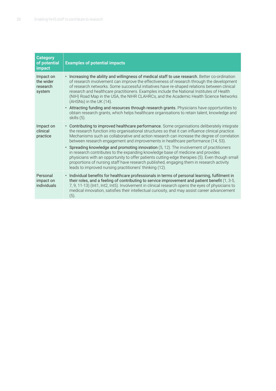| <b>Category</b><br>of potential<br>impact    | <b>Examples of potential impacts</b>                                                                                                                                                                                                                                                                                                                                                                                                                                                                                                                                                                         |
|----------------------------------------------|--------------------------------------------------------------------------------------------------------------------------------------------------------------------------------------------------------------------------------------------------------------------------------------------------------------------------------------------------------------------------------------------------------------------------------------------------------------------------------------------------------------------------------------------------------------------------------------------------------------|
| Impact on<br>the wider<br>research<br>system | • Increasing the ability and willingness of medical staff to use research. Better co-ordination<br>of research involvement can improve the effectiveness of research through the development<br>of research networks. Some successful initiatives have re-shaped relations between clinical<br>research and healthcare practitioners. Examples include the National Institutes of Health<br>(NIH) Road Map in the USA, the NIHR CLAHRCs, and the Academic Health Science Networks<br>(AHSNs) in the UK (14).<br>• Attracting funding and resources through research grants. Physicians have opportunities to |
|                                              | obtain research grants, which helps healthcare organisations to retain talent, knowledge and<br>skills (5).                                                                                                                                                                                                                                                                                                                                                                                                                                                                                                  |
| Impact on<br>clinical<br>practice            | • Contributing to improved healthcare performance. Some organisations deliberately integrate<br>the research function into organisational structures so that it can influence clinical practice.<br>Mechanisms such as collaborative and action research can increase the degree of correlation<br>between research engagement and improvements in healthcare performance (14, 53).                                                                                                                                                                                                                          |
|                                              | • Spreading knowledge and promoting innovation (5, 12). The involvement of practitioners<br>in research contributes to the expanding knowledge base of medicine and provides<br>physicians with an opportunity to offer patients cutting-edge therapies (5). Even though small<br>proportions of nursing staff have research published, engaging them in research activity<br>leads to improved nursing practitioners' thinking (12).                                                                                                                                                                        |
| Personal<br>impact on<br>individuals         | Individual benefits for healthcare professionals in terms of personal learning, fulfilment in<br>$\bullet$<br>their roles, and a feeling of contributing to service improvement and patient benefit (1, 3-5,<br>7, 9, 11-13) (Int1, Int2, Int5). Involvement in clinical research opens the eyes of physicians to<br>medical innovation, satisfies their intellectual curiosity, and may assist career advancement<br>(5).                                                                                                                                                                                   |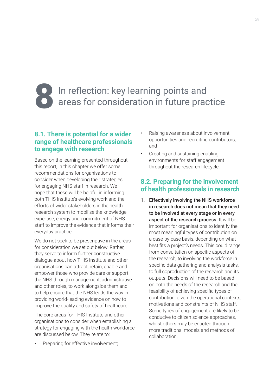# In reflection: key learning points and<br>I areas for consideration in future practice

## **8.1. There is potential for a wider range of healthcare professionals to engage with research**

Based on the learning presented throughout this report, in this chapter we offer some recommendations for organisations to consider when developing their strategies for engaging NHS staff in research. We hope that these will be helpful in informing both THIS Institute's evolving work and the efforts of wider stakeholders in the health research system to mobilise the knowledge, expertise, energy and commitment of NHS staff to improve the evidence that informs their everyday practice.

We do not seek to be prescriptive in the areas for consideration we set out below. Rather, they serve to inform further constructive dialogue about how THIS Institute and other organisations can attract, retain, enable and empower those who provide care or support the NHS through management, administrative and other roles, to work alongside them and to help ensure that the NHS leads the way in providing world-leading evidence on how to improve the quality and safety of healthcare.

The core areas for THIS Institute and other organisations to consider when establishing a strategy for engaging with the health workforce are discussed below. They relate to:

Preparing for effective involvement;

- Raising awareness about involvement opportunities and recruiting contributors; and
- Creating and sustaining enabling environments for staff engagement throughout the research lifecycle.

## **8.2. Preparing for the involvement of health professionals in research**

1. Effectively involving the NHS workforce in research does not mean that they need to be involved at every stage or in every aspect of the research process. It will be important for organisations to identify the most meaningful types of contribution on a case-by-case basis, depending on what best fits a project's needs. This could range from consultation on specific aspects of the research, to involving the workforce in specific data gathering and analysis tasks, to full coproduction of the research and its outputs. Decisions will need to be based on both the needs of the research and the feasibility of achieving specific types of contribution, given the operational contexts, motivations and constraints of NHS staff. Some types of engagement are likely to be conducive to citizen science approaches, whilst others may be enacted through more traditional models and methods of collaboration.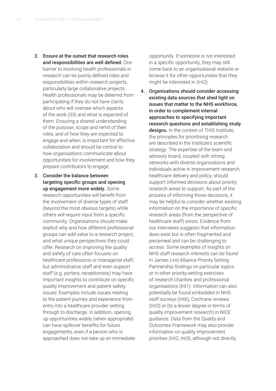- 2. Ensure at the outset that research roles and responsibilities are well defined. One barrier to involving health professionals in research can be poorly defined roles and responsibilities within research projects, particularly large collaborative projects. Health professionals may be deterred from participating if they do not have clarity about who will oversee which aspects of the work (33) and what is expected of them. Ensuring a shared understanding of the purpose, scope and remit of their roles, and of how they are expected to engage and when, is important for effective collaboration and should be central to how organisations communicate about opportunities for involvement and how they prepare contributors to engage.
- 3. Consider the balance between targeting specific groups and opening up engagement more widely. Some research opportunities will benefit from the involvement of diverse types of staff (beyond the most obvious targets) while others will require input from a specific community. Organisations should make explicit why and how different professional groups can add value to a research project, and what unique perspectives they could offer. Research on improving the quality and safety of care often focuses on healthcare professions or managerial staff, but administrative staff and even support staff (e.g. porters, receptionists) may have important insights to contribute on specific quality improvement and patient safety issues. Examples include issues relating to the patient journey and experience from entry into a healthcare provider setting through to discharge. In addition, opening up opportunities widely (when appropriate) can have spillover benefits for future engagements, even if a person who is approached does not take up an immediate

opportunity. If someone is not interested in a specific opportunity, they may still come back to an organisational website or browse it for other opportunities that they might be interested in (Int2).

4. Organisations should consider accessing existing data sources that shed light on issues that matter to the NHS workforce, in order to complement internal approaches to specifying important research questions and establishing study designs. In the context of THIS Institute, the principles for prioritising research are described in the Institute's scientific strategy. The expertise of the team and advisory board, coupled with strong networks with diverse organisations and individuals active in improvement research, healthcare delivery and policy, should support informed decisions about priority research areas to support. As part of the process of informing those decisions, it may be helpful to consider whether existing information on the importance of specific research areas (from the perspective of healthcare staff) exists. Evidence from our interviews suggests that information does exist but is often fragmented and piecemeal and can be challenging to access. Some examples of insights on NHS staff research interests can be found in James Lind Alliance Priority Setting Partnership findings on particular topics or in other priority-setting exercises of research charities and professional organisations (Int1). Information can also potentially be found embedded in NHS staff surveys (Int6), Cochrane reviews (Int3) or (to a lesser degree in terms of quality improvement research) in NICE guidance. Data from the Quality and Outcomes Framework may also provide information on quality improvement priorities (Int2, Int3), although not directly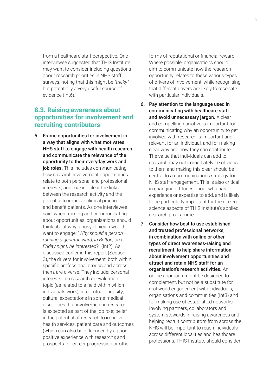from a healthcare staff perspective. One interviewee suggested that THIS Institute may want to consider including questions about research priorities in NHS staff surveys, noting that this might be "*tricky"* but potentially a very useful source of evidence (Int6).

# **8.3. Raising awareness about opportunities for involvement and recruiting contributors**

5. Frame opportunities for involvement in a way that aligns with what motivates NHS staff to engage with health research and communicate the relevance of the opportunity to their everyday work and job roles. This includes communicating how research involvement opportunities relate to both personal and professional interests, and making clear the links between the research activity and the potential to improve clinical practice and benefit patients. As one interviewee said, when framing and communicating about opportunities, organisations should think about why a busy clinician would want to engage: "*Why should a person running a geriatric ward, in Bolton, on a Friday night, be interested*?" (Int2). As discussed earlier in this report (Section 3), the drivers for involvement, both within specific professional groups and across them, are diverse. They include: personal interests in a research or evaluation topic (as related to a field within which individuals work); intellectual curiosity; cultural expectations in some medical disciplines that involvement in research is expected as part of the job role; belief in the potential of research to improve health services, patient care and outcomes (which can also be influenced by a prior positive experience with research); and prospects for career progression or other

forms of reputational or financial reward. Where possible, organisations should aim to communicate how the research opportunity relates to these various types of drivers of involvement, while recognising that different drivers are likely to resonate with particular individuals.

- 6. Pay attention to the language used in communicating with healthcare staff and avoid unnecessary jargon. A clear and compelling narrative is important for communicating why an opportunity to get involved with research is important and relevant for an individual, and for making clear why and how they can contribute. The value that individuals can add to research may not immediately be obvious to them and making this clear should be central to a communications strategy for NHS staff engagement. This is also critical in changing attitudes about who has experience or expertise to add, and is likely to be particularly important for the citizen science aspects of THIS Institute's applied research programme.
- 7. Consider how best to use established and trusted professional networks, in combination with online or other types of direct awareness-raising and recruitment, to help share information about involvement opportunities and attract and retain NHS staff for an organisation's research activities. An online approach might be designed to complement, but not be a substitute for, real-world engagement with individuals, organisations and communities (Int3) and for making use of established networks. Involving partners, collaborators and system stewards in raising awareness and helping recruit contributors from across the NHS will be important to reach individuals across different localities and healthcare professions. THIS Institute should consider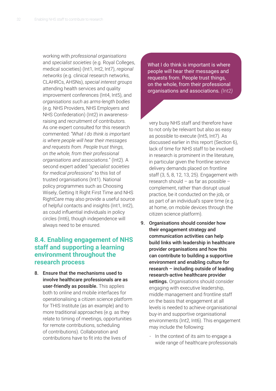working with *professional organisations*  and *specialist societies* (e.g. Royal Colleges, medical societies) (Int1, Int2, Int7), *regional networks* (e.g. clinical research networks, CLAHRCs, AHSNs), *special interest groups* attending health services and quality improvement conferences (Int4, Int5), and *organisations such as arms-length bodies* (e.g. NHS Providers, NHS Employers and NHS Confederation) (Int2) in awarenessraising and recruitment of contributors. As one expert consulted for this research commented: *"What I do think is important is where people will hear their messages and requests from. People trust things, on the whole, from their professional organisations and associations.*" (Int2). A second expert added "*specialist societies for medical professions*" to this list of trusted organisations (Int1). National policy programmes such as Choosing Wisely, Getting It Right First Time and NHS RightCare may also provide a useful source of helpful contacts and insights (Int1, Int2), as could influential individuals in policy circles (Int6), though independence will always need to be ensured.

# **8.4. Enabling engagement of NHS staff and supporting a learning environment throughout the research process**

8. Ensure that the mechanisms used to involve healthcare professionals are as user-friendly as possible. This applies both to online and mobile interfaces for operationalising a citizen science platform for THIS Institute (as an example) and to more traditional approaches (e.g. as they relate to timing of meetings, opportunities for remote contributions, scheduling of contributions). Collaboration and contributions have to fit into the lives of

What I do think is important is where people will hear their messages and requests from. People trust things, on the whole, from their professional organisations and associations*. (Int2)*

very busy NHS staff and therefore have to not only be relevant but also as easy as possible to execute (Int5, Int7). As discussed earlier in this report (Section 6), lack of time for NHS staff to be involved in research is prominent in the literature, in particular given the frontline service delivery demands placed on frontline staff (3, 5, 8, 12, 13, 25). Engagement with research should – as far as possible – complement, rather than disrupt usual practice, be it conducted on the job, or as part of an individual's spare time (e.g. at home, on mobile devices through the citizen science platform).

- 9. Organisations should consider how their engagement strategy and communication activities can help build links with leadership in healthcare provider organisations and how this can contribute to building a supportive environment and enabling culture for research – including outside of leading research-active healthcare provider settings. Organisations should consider engaging with executive leadership, middle management and frontline staff on the basis that engagement at all levels is needed to achieve organisational buy-in and supportive organisational environments (Int2, Int6). This engagement may include the following:
	- In the context of its aim to engage a wide range of healthcare professionals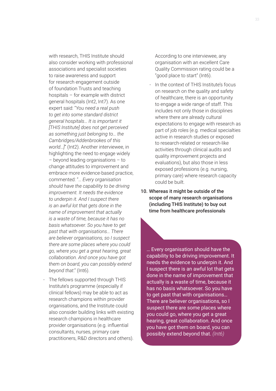with research, THIS Institute should also consider working with professional associations and specialist societies to raise awareness and support for research engagement outside of foundation Trusts and teaching hospitals – for example with district general hospitals (Int2, Int7). As one expert said: "*You need a real push to get into some standard district general hospitals… It is important it [THIS Institute] does not get perceived as something just belonging to… the Cambridges/Addenbrookes of this world…]*" (Int2). Another interviewee, in highlighting the need to engage widely – beyond leading organisations – to change attitudes to improvement and embrace more evidence-based practice, commented: "… *Every organisation should have the capability to be driving improvement. It needs the evidence to underpin it. And I suspect there is an awful lot that gets done in the name of improvement that actually is a waste of time, because it has no basis whatsoever. So you have to get past that with organisations… There are believer organisations, so I suspect there are some places where you could go, where you get a great hearing, great collaboration. And once you have got them on board, you can possibly extend beyond that*." (Int6).

- The fellows supported through THIS Institute's programme (especially if clinical fellows) may be able to act as research champions within provider organisations, and the Institute could also consider building links with existing research champions in healthcare provider organisations (e.g. influential consultants, nurses, primary care practitioners, R&D directors and others).

According to one interviewee, any organisation with an excellent Care Quality Commission rating could be a "good place to start" (Int6).

- In the context of THIS Institute's focus on research on the quality and safety of healthcare, there is an opportunity to engage a wide range of staff. This includes not only those in disciplines where there are already cultural expectations to engage with research as part of job roles (e.g. medical specialties active in research studies or exposed to research-related or research-like activities through clinical audits and quality improvement projects and evaluations), but also those in less exposed professions (e.g. nursing, primary care) where research capacity could be built.
- 10. Whereas it might be outside of the scope of many research organisations (including THIS Institute) to buy out time from healthcare professionals

… Every organisation should have the capability to be driving improvement. It needs the evidence to underpin it. And I suspect there is an awful lot that gets done in the name of improvement that actually is a waste of time, because it has no basis whatsoever. So you have to get past that with organisations… There are believer organisations, so I suspect there are some places where you could go, where you get a great hearing, great collaboration. And once you have got them on board, you can possibly extend beyond that. *(Int6)*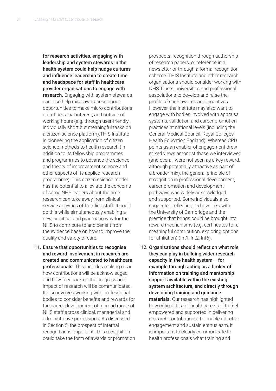for research activities, engaging with leadership and system stewards in the health system could help nudge cultures and influence leadership to create time and headspace for staff in healthcare provider organisations to engage with research**.** Engaging with system stewards can also help raise awareness about opportunities to make micro contributions out of personal interest, and outside of working hours (e.g. through user-friendly, individually short but meaningful tasks on a citizen science platform).THIS Institute is pioneering the application of citizen science methods to health research (in addition to its fellowship programmes and programmes to advance the science and theory of improvement science and other aspects of its applied research programme). This citizen science model has the potential to alleviate the concerns of some NHS leaders about the time research can take away from clinical service activities of frontline staff. It could do this while simultaneously enabling a new, practical and pragmatic way for the NHS to contribute to and benefit from the evidence base on how to improve the quality and safety of care.

11. Ensure that opportunities to recognise and reward involvement in research are created and communicated to healthcare professionals. This includes making clear how contributions will be acknowledged, and how feedback on the progress and impact of research will be communicated. It also involves working with professional bodies to consider benefits and rewards for the career development of a broad range of NHS staff across clinical, managerial and administrative professions. As discussed in Section 5, the prospect of internal recognition is important. This recognition could take the form of awards or promotion prospects, recognition through authorship of research papers, or reference in a newsletter or through a formal recognition scheme. THIS Institute and other research organisations should consider working with NHS Trusts, universities and professional associations to develop and raise the profile of such awards and incentives. However, the Institute may also want to engage with bodies involved with appraisal systems, validation and career promotion practices at national levels (including the General Medical Council, Royal Colleges, Health Education England). Whereas CPD points as an enabler of engagement drew mixed views amongst those we interviewed (and overall were not seen as a key reward, although potentially attractive as part of a broader mix), the general principle of recognition in professional development, career promotion and development pathways was widely acknowledged and supported. Some individuals also suggested reflecting on how links with the University of Cambridge and the prestige that brings could be brought into reward mechanisms (e.g. certificates for a meaningful contribution, exploring options for affiliation) (Int1, Int2, Int6).

12. Organisations should reflect on what role they can play in building wider research capacity in the health system – for example through acting as a broker of information on training and mentorship support available within the existing system architecture, and directly through developing training and guidance materials. Our research has highlighted how critical it is for healthcare staff to feel empowered and supported in delivering research contributions. To enable effective engagement and sustain enthusiasm, it is important to clearly communicate to health professionals what training and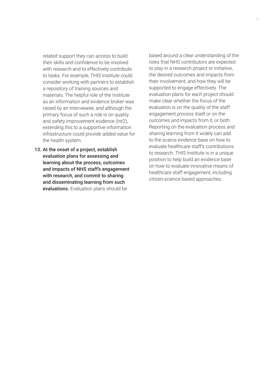related support they can access to build their skills and confidence to be involved with research and to effectively contribute to tasks. For example, THIS Institute could consider working with partners to establish a repository of training sources and materials. The helpful role of the Institute as an information and evidence broker was raised by an interviewee, and although the primary focus of such a role is on quality and safety improvement evidence (Int2), extending this to a supportive information infrastructure could provide added value for the health system.

13. At the onset of a project, establish evaluation plans for assessing and learning about the process, outcomes and impacts of NHS staff's engagement with research, and commit to sharing and disseminating learning from such evaluations. Evaluation plans should be

based around a clear understanding of the roles that NHS contributors are expected to play in a research project or initiative, the desired outcomes and impacts from their involvement, and how they will be supported to engage effectively. The evaluation plans for each project should make clear whether the focus of the evaluation is on the quality of the staff engagement *process* itself or on the *outcomes and impacts* from it, or both*.* Reporting on the evaluation process and sharing learning from it widely can add to the scarce evidence base on how to evaluate healthcare staff's contributions to research. THIS Institute is in a unique position to help build an evidence base on how to evaluate innovative means of healthcare staff engagement, including citizen-science based approaches.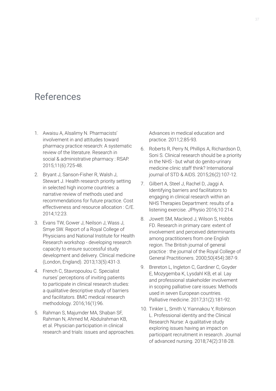# References

- 1. Awaisu A, Alsalimy N. Pharmacists' involvement in and attitudes toward pharmacy practice research: A systematic review of the literature. Research in social & administrative pharmacy : RSAP. 2015;11(6):725-48.
- 2. Bryant J, Sanson-Fisher R, Walsh J, Stewart J. Health research priority setting in selected high income countries: a narrative review of methods used and recommendations for future practice. Cost effectiveness and resource allocation : C/E. 2014;12:23.
- 3. Evans TW, Gower J, Neilson J, Wass J, Smye SW. Report of a Royal College of Physicians and National Institute for Health Research workshop - developing research capacity to ensure successful study development and delivery. Clinical medicine (London, England). 2013;13(5):431-3.
- 4. French C, Stavropoulou C. Specialist nurses' perceptions of inviting patients to participate in clinical research studies: a qualitative descriptive study of barriers and facilitators. BMC medical research methodology. 2016;16(1):96.
- 5. Rahman S, Majumder MA, Shaban SF, Rahman N, Ahmed M, Abdulrahman KB, et al. Physician participation in clinical research and trials: issues and approaches.

Advances in medical education and practice. 2011;2:85-93.

- 6. Roberts R, Perry N, Phillips A, Richardson D, Soni S. Clinical research should be a priority in the NHS - but what do genito-urinary medicine clinic staff think? International journal of STD & AIDS. 2015;26(2):107-12.
- 7. Gilbert A, Steel J, Rachel D, Jaggi A. Identifying barriers and facilitators to engaging in clinical research within an NHS Therapies Department: results of a listening exercise. JPhysio 2016;10 214.
- 8. Jowett SM, Macleod J, Wilson S, Hobbs FD. Research in primary care: extent of involvement and perceived determinants among practitioners from one English region. The British journal of general practice : the journal of the Royal College of General Practitioners. 2000;50(454):387-9.
- 9. Brereton L, Ingleton C, Gardiner C, Goyder E, Mozygemba K, Lysdahl KB, et al. Lay and professional stakeholder involvement in scoping palliative care issues: Methods used in seven European countries. Palliative medicine. 2017;31(2):181-92.
- 10. Tinkler L, Smith V, Yiannakou Y, Robinson L. Professional identity and the Clinical Research Nurse: A qualitative study exploring issues having an impact on participant recruitment in research. Journal of advanced nursing. 2018;74(2):318-28.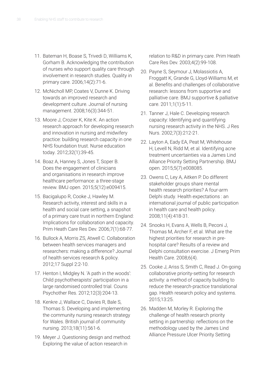- 11. Bateman H, Boase S, Trivedi D, Williams K, Gorham B. Acknowledging the contribution of nurses who support quality care through involvement in research studies. Quality in primary care. 2006;14(2):71-6.
- 12. McNicholl MP, Coates V, Dunne K. Driving towards an improved research and development culture. Journal of nursing management. 2008;16(3):344-51.
- 13. Moore J, Crozier K, Kite K. An action research approach for developing research and innovation in nursing and midwifery practice: building research capacity in one NHS foundation trust. Nurse education today. 2012;32(1):39-45.
- 14. Boaz A, Hanney S, Jones T, Soper B. Does the engagement of clinicians and organisations in research improve healthcare performance: a three-stage review. BMJ open. 2015;5(12):e009415.
- 15. Bacigalupo R, Cooke J, Hawley M. Research activity, interest and skills in a health and social care setting, a snapshot of a primary care trust in northern England: Implications for collaboration and capacity. Prim Heath Care Res Dev. 2006;7(1):68-77.
- 16. Bullock A, Morris ZS, Atwell C. Collaboration between health services managers and researchers: making a difference? Journal of health services research & policy. 2012;17 Suppl 2:2-10.
- 17. Henton I, Midgley N. 'A path in the woods': Child psychotherapists' participation in a large randomised controlled trial. Couns Psychother Res. 2012;12(3):204-13.
- 18. Kenkre J, Wallace C, Davies R, Bale S, Thomas S. Developing and implementing the community nursing research strategy for Wales. British journal of community nursing. 2013;18(11):561-6.
- 19. Meyer J. Questioning design and method: Exploring the value of action research in

relation to R&D in primary care. Prim Heath Care Res Dev. 2003;4(2):99-108.

- 20. Payne S, Seymour J, Molassiotis A, Froggatt K, Grande G, Lloyd-Williams M, et al. Benefits and challenges of collaborative research: lessons from supportive and palliative care. BMJ supportive & palliative care. 2011;1(1):5-11.
- 21. Tanner J, Hale C. Developing research capacity: Identifying and quantifying nursing research activity in the NHS. J Res Nurs. 2002;7(3):212-21.
- 22. Layton A, Eady EA, Peat M, Whitehouse H, Levell N, Ridd M, et al. Identifying acne treatment uncertainties via a James Lind Alliance Priority Setting Partnership. BMJ open. 2015;5(7):e008085.
- 23. Owens C, Ley A, Aitken P. Do different stakeholder groups share mental health research priorities? A four-arm Delphi study. Health expectations : an international journal of public participation in health care and health policy. 2008;11(4):418-31.
- 24. Snooks H, Evans A, Wells B, Peconi J, Thomas M, Archer F, et al. What are the highest priorities for research in prehospital care? Results of a review and Delphi consultation exercise. J Emerg Prim Health Care. 2008;6(4).
- 25. Cooke J, Ariss S, Smith C, Read J. On-going collaborative priority-setting for research activity: a method of capacity building to reduce the research-practice translational gap. Health research policy and systems. 2015;13:25.
- 26. Madden M, Morley R. Exploring the challenge of health research priority setting in partnership: reflections on the methodology used by the James Lind Alliance Pressure Ulcer Priority Setting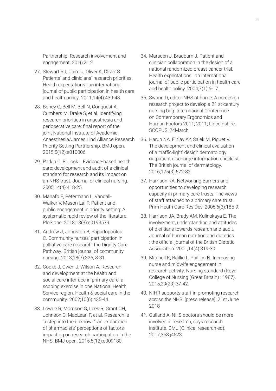Partnership. Research involvement and engagement. 2016;2:12.

- 27. Stewart RJ, Caird J, Oliver K, Oliver S. Patients' and clinicians' research priorities. Health expectations : an international journal of public participation in health care and health policy. 2011;14(4):439-48.
- 28. Boney O, Bell M, Bell N, Conquest A, Cumbers M, Drake S, et al. Identifying research priorities in anaesthesia and perioperative care: final report of the joint National Institute of Academic Anaesthesia/James Lind Alliance Research Priority Setting Partnership. BMJ open. 2015;5(12):e010006.
- 29. Parkin C, Bullock I. Evidence-based health care: development and audit of a clinical standard for research and its impact on an NHS trust. Journal of clinical nursing. 2005;14(4):418-25.
- 30. Manafo E, Petermann L, Vandall-Walker V, Mason-Lai P. Patient and public engagement in priority setting: A systematic rapid review of the literature. PloS one. 2018;13(3):e0193579.
- 31. Andrew J, Johnston B, Papadopoulou C. Community nurses' participation in palliative care research: the Dignity Care Pathway. British journal of community nursing. 2013;18(7):326, 8-31.
- 32. Cooke J, Owen J, Wilson A. Research and development at the health and social care interface in primary care: a scoping exercise in one National Health Service region. Health & social care in the community. 2002;10(6):435-44.
- 33. Lowrie R, Morrison G, Lees R, Grant CH, Johnson C, MacLean F, et al. Research is 'a step into the unknown': an exploration of pharmacists' perceptions of factors impacting on research participation in the NHS. BMJ open. 2015;5(12):e009180.
- 34. Marsden J, Bradburn J. Patient and clinician collaboration in the design of a national randomized breast cancer trial. Health expectations : an international journal of public participation in health care and health policy. 2004;7(1):6-17.
- 35. Swann D, editor NHS at home: A co-design research project to develop a 21 st century nursing bag. International Conference on Contemporary Ergonomics and Human Factors 2011; 2011; Lincolnshire. SCOPUS\_24March.
- 36. Harun NA, Finlay AY, Salek M, Piguet V. The development and clinical evaluation of a 'traffic-light' design dermatology outpatient discharge information checklist. The British journal of dermatology. 2016;175(3):572-82.
- 37. Harrison RA. Networking Barriers and opportunities to developing research capacity in primary care trusts: The views of staff attached to a primary care trust. Prim Heath Care Res Dev. 2005;6(3):185-9.
- 38. Harrison JA, Brady AM, Kulinskaya E. The involvement, understanding and attitudes of dietitians towards research and audit. Journal of human nutrition and dietetics : the official journal of the British Dietetic Association. 2001;14(4):319-30.
- 39. Mitchell K, Baillie L, Phillips N. Increasing nurse and midwife engagement in research activity. Nursing standard (Royal College of Nursing (Great Britain) : 1987). 2015;29(23):37-42.
- 40. NIHR supports staff in promoting research across the NHS. [press release]. 21st June 2018
- 41. Gulland A. NHS doctors should be more involved in research, says research institute. BMJ (Clinical research ed). 2017;358:j4523.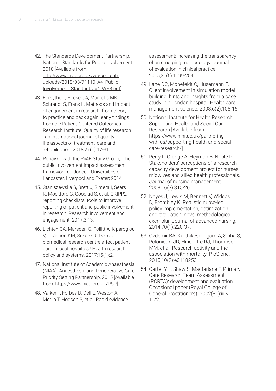- 42. The Standards Development Partnership. National Standards for Public Involvement 2018 [Available from: http://www.invo.org.uk/wp-content/ uploads/2018/03/71110\_A4\_Public\_ [Involvement\\_Standards\\_v4\\_WEB.pdf\]](http://www.invo.org.uk/wp-content/uploads/2018/03/71110_A4_Public_Involvement_Standards_v4_WEB.pdf).
- 43. Forsythe L, Heckert A, Margolis MK, Schrandt S, Frank L. Methods and impact of engagement in research, from theory to practice and back again: early findings from the Patient-Centered Outcomes Research Institute. Quality of life research : an international journal of quality of life aspects of treatment, care and rehabilitation. 2018;27(1):17-31.
- 44. Popay C, with the PiiAF Study Group,. The public involvement impact assessment framework guidance. : Universities of Lancaster, Liverpool and Exeter; 2014
- 45. Staniszewska S, Brett J, Simera I, Seers K, Mockford C, Goodlad S, et al. GRIPP2 reporting checklists: tools to improve reporting of patient and public involvement in research. Research involvement and engagement. 2017;3:13.
- 46. Lichten CA, Marsden G, Pollitt A, Kiparoglou V, Channon KM, Sussex J. Does a biomedical research centre affect patient care in local hospitals? Health research policy and systems. 2017;15(1):2.
- 47. National Institute of Academic Anaesthesia (NIAA). Anaesthesia and Perioperative Care Priority Setting Partnership, 2015 [Available from: [https://www.niaa.org.uk/PSP\]](https://www.niaa.org.uk/PSP).
- 48. Varker T, Forbes D, Dell L, Weston A, Merlin T, Hodson S, et al. Rapid evidence

assessment: increasing the transparency of an emerging methodology. Journal of evaluation in clinical practice. 2015;21(6):1199-204.

- 49. Lane DC, Monefeldt C, Husemann E. Client involvement in simulation model building: hints and insights from a case study in a London hospital. Health care management science. 2003;6(2):105-16.
- 50. National Institute for Health Research. Supporting Health and Social Care Research [Available from: https://www.nihr.ac.uk/partnering[with-us/supporting-health-and-social](https://www.nihr.ac.uk/partnering-with-us/supporting-health-and-social-care-research/)care-research/]
- 51. Perry L, Grange A, Heyman B, Noble P. Stakeholders' perceptions of a research capacity development project for nurses, midwives and allied health professionals. Journal of nursing management. 2008;16(3):315-26.
- 52. Noyes J, Lewis M, Bennett V, Widdas D, Brombley K. Realistic nurse-led policy implementation, optimization and evaluation: novel methodological exemplar. Journal of advanced nursing. 2014;70(1):220-37.
- 53. Ozdemir BA, Karthikesalingam A, Sinha S, Poloniecki JD, Hinchliffe RJ, Thompson MM, et al. Research activity and the association with mortality. PloS one. 2015;10(2):e0118253.
- 54. Carter YH, Shaw S, Macfarlane F. Primary Care Research Team Assessment (PCRTA): development and evaluation. Occasional paper (Royal College of General Practitioners). 2002(81):iii-vi, 1-72.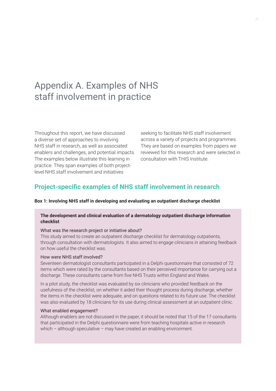# Appendix A. Examples of NHS staff involvement in practice

Throughout this report, we have discussed a diverse set of approaches to involving NHS staff in research, as well as associated enablers and challenges, and potential impacts. The examples below illustrate this learning in practice. They span examples of both projectlevel NHS staff involvement and initiatives

seeking to facilitate NHS staff involvement across a variety of projects and programmes. They are based on examples from papers we reviewed for this research and were selected in consultation with THIS Institute.

# **Project-specific examples of NHS staff involvement in research**

#### **Box 1: Involving NHS staff in developing and evaluating an outpatient discharge checklist**

#### **The development and clinical evaluation of a dermatology outpatient discharge information checklist**

#### What was the research project or initiative about?

This study aimed to create an outpatient discharge checklist for dermatology outpatients, through consultation with dermatologists. It also aimed to engage clinicians in attaining feedback on how useful the checklist was.

#### How were NHS staff involved?

Seventeen dermatologist consultants participated in a Delphi questionnaire that consisted of 72 items which were rated by the consultants based on their perceived importance for carrying out a discharge. These consultants came from five NHS Trusts within England and Wales.

In a pilot study, the checklist was evaluated by six clinicians who provided feedback on the usefulness of the checklist, on whether it aided their thought process during discharge, whether the items in the checklist were adequate, and on questions related to its future use. The checklist was also evaluated by 18 clinicians for its use during clinical assessment at an outpatient clinic.

#### What enabled engagement?

Although enablers are not discussed in the paper, it should be noted that 15 of the 17 consultants that participated in the Delphi questionnaire were from teaching hospitals active in research which – although speculative – may have created an enabling environment.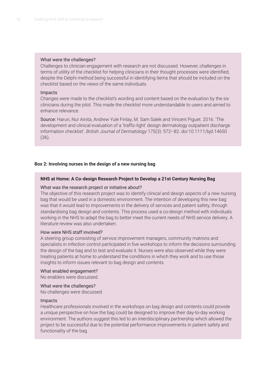#### What were the challenges?

Challenges to clinician engagement with research are not discussed. However, challenges in terms of utility of the checklist for helping clinicians in their thought processes were identified, despite the Delphi method being successful in identifying items that should be included on the checklist based on the views of the same individuals.

#### Impacts

Changes were made to the checklist's wording and content based on the evaluation by the six clinicians during the pilot. This made the checklist more understandable to users and aimed to enhance relevance.

Source: Harun, Nur Ainita, Andrew Yule Finlay, M. Sam Salek and Vincent Piguet. 2016. 'The development and clinical evaluation of a 'traffic‐light' design dermatology outpatient discharge information checklist'. *British Journal of Dermatology* 175(3): 572–82. doi:10.1111/bjd.14650 (36).

#### **Box 2: Involving nurses in the design of a new nursing bag**

#### **NHS at Home: A Co-design Research Project to Develop a 21st Century Nursing Bag**

#### What was the research project or initiative about?

The objective of this research project was to identify clinical and design aspects of a new nursing bag that would be used in a domestic environment. The intention of developing this new bag was that it would lead to improvements in the delivery of services and patient safety, through standardising bag design and contents. This process used a co-design method with individuals working in the NHS to adapt the bag to better meet the current needs of NHS service delivery. A literature review was also undertaken.

#### How were NHS staff involved?

A steering group consisting of service improvement managers, community matrons and specialists in infection control participated in five workshops to inform the decisions surrounding the design of the bag and to test and evaluate it. Nurses were also observed while they were treating patients at home to understand the conditions in which they work and to use those insights to inform issues relevant to bag design and contents.

#### What enabled engagement?

No enablers were discussed.

#### What were the challenges?

No challenges were discussed.

#### Impacts

Healthcare professionals involved in the workshops on bag design and contents could provide a unique perspective on how the bag could be designed to improve their day-to-day working environment. The authors suggest this led to an interdisciplinary partnership which allowed the project to be successful due to the potential performance improvements in patient safety and functionality of the bag.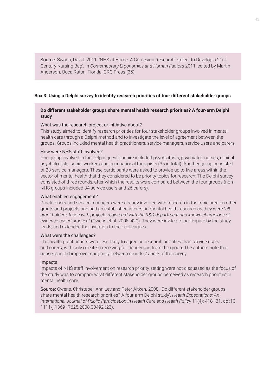Source: Swann, David. 2011. 'NHS at Home: A Co-design Research Project to Develop a 21st Century Nursing Bag'. In *Contemporary Ergonomics and Human Factors* 2011, edited by Martin Anderson. Boca Raton, Florida: CRC Press (35).

#### **Box 3: Using a Delphi survey to identify research priorities of four different stakeholder groups**

#### **Do different stakeholder groups share mental health research priorities? A four‐arm Delphi study**

#### What was the research project or initiative about?

This study aimed to identify research priorities for four stakeholder groups involved in mental health care through a Delphi method and to investigate the level of agreement between the groups. Groups included mental health practitioners, service managers, service users and carers.

#### How were NHS staff involved?

One group involved in the Delphi questionnaire included psychiatrists, psychiatric nurses, clinical psychologists, social workers and occupational therapists (35 in total). Another group consisted of 23 service managers. These participants were asked to provide up to five areas within the sector of mental health that they considered to be priority topics for research. The Delphi survey consisted of three rounds, after which the results were compared between the four groups (non-NHS groups included 34 service users and 26 carers).

#### What enabled engagement?

Practitioners and service managers were already involved with research in the topic area on other grants and projects and had an established interest in mental health research as they were "*all grant holders, those with projects registered with the R&D department and known champions of evidence‐based practice*" (Owens et al. 2008, 420). They were invited to participate by the study leads, and extended the invitation to their colleagues.

#### What were the challenges?

The health practitioners were less likely to agree on research priorities than service users and carers, with only one item receiving full consensus from the group. The authors note that consensus did improve marginally between rounds 2 and 3 of the survey.

#### Impacts

Impacts of NHS staff involvement on research priority setting were not discussed as the focus of the study was to compare what different stakeholder groups perceived as research priorities in mental health care.

Source: Owens, Christabel, Ann Ley and Peter Aitken. 2008. 'Do different stakeholder groups share mental health research priorities? A four‐arm Delphi study'. *Health Expectations: An International Journal of Public Participation in Health Care and Health Policy* 11(4): 418–31. doi:10. 1111/j.1369–7625.2008.00492 (23).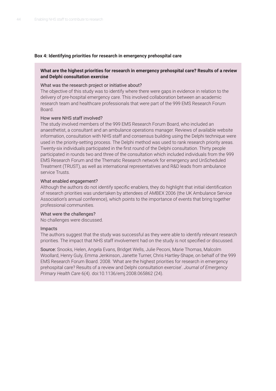#### **Box 4: Identifying priorities for research in emergency prehospital care**

#### **What are the highest priorities for research in emergency prehospital care? Results of a review and Delphi consultation exercise**

#### What was the research project or initiative about?

The objective of this study was to identify where there were gaps in evidence in relation to the delivery of pre-hospital emergency care. This involved collaboration between an academic research team and healthcare professionals that were part of the 999 EMS Research Forum Board.

#### How were NHS staff involved?

The study involved members of the 999 EMS Research Forum Board, who included an anaesthetist, a consultant and an ambulance operations manager. Reviews of available website information, consultation with NHS staff and consensus building using the Delphi technique were used in the priority-setting process. The Delphi method was used to rank research priority areas. Twenty-six individuals participated in the first round of the Delphi consultation. Thirty people participated in rounds two and three of the consultation which included individuals from the 999 EMS Research Forum and the Thematic Research network for emergency and UnScheduled Treatment (TRUST), as well as international representatives and R&D leads from ambulance service Trusts.

#### What enabled engagement?

Although the authors do not identify specific enablers, they do highlight that initial identification of research priorities was undertaken by attendees of AMBEX 2006 (the UK Ambulance Service Association's annual conference), which points to the importance of events that bring together professional communities.

#### What were the challenges?

No challenges were discussed.

#### Impacts

The authors suggest that the study was successful as they were able to identify relevant research priorities. The impact that NHS staff involvement had on the study is not specified or discussed.

Source: Snooks, Helen, Angela Evans, Bridget Wells, Julie Peconi, Marie Thomas, Malcolm Woollard, Henry Guly, Emma Jenkinson, Janette Turner, Chris Hartley-Shape, on behalf of the 999 EMS Research Forum Board. 2008. 'What are the highest priorities for research in emergency prehospital care? Results of a review and Delphi consultation exercise'. *Journal of Emergency Primary Health Care* 6(4). doi:10.1136/emj.2008.065862 (24).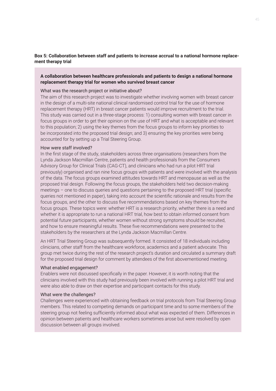#### **Box 5: Collaboration between staff and patients to increase accrual to a national hormone replacement therapy trial**

#### **A collaboration between healthcare professionals and patients to design a national hormone replacement therapy trial for women who survived breast cancer**

#### What was the research project or initiative about?

The aim of this research project was to investigate whether involving women with breast cancer in the design of a multi-site national clinical randomised control trial for the use of hormone replacement therapy (HRT) in breast cancer patients would improve recruitment to the trial. This study was carried out in a three-stage process: 1) consulting women with breast cancer in focus groups in order to get their opinion on the use of HRT and what is acceptable and relevant to this population; 2) using the key themes from the focus groups to inform key priorities to be incorporated into the proposed trial design; and 3) ensuring the key priorities were being accounted for by setting up a Trial Steering Group.

#### How were staff involved?

In the first stage of the study, stakeholders across three organisations (researchers from the Lynda Jackson Macmillan Centre, patients and health professionals from the Consumers Advisory Group for Clinical Trials (CAG-CT), and clinicians who had run a pilot HRT trial previously) organised and ran nine focus groups with patients and were involved with the analysis of the data. The focus groups examined attitudes towards HRT and menopause as well as the proposed trial design. Following the focus groups, the stakeholders held two decision-making meetings – one to discuss queries and questions pertaining to the proposed HRT trial (specific queries not mentioned in paper), taking into account the scientific rationale and results from the focus groups, and the other to discuss five recommendations based on key themes from the focus groups. These topics were: whether HRT is a research priority, whether there is a need and whether it is appropriate to run a national HRT trial, how best to obtain informed consent from potential future participants, whether women without strong symptoms should be recruited, and how to ensure meaningful results. These five recommendations were presented to the stakeholders by the researchers at the Lynda Jackson Macmillan Centre.

An HRT Trial Steering Group was subsequently formed. It consisted of 18 individuals including clinicians, other staff from the healthcare workforce, academics and a patient advocate. This group met twice during the rest of the research project's duration and circulated a summary draft for the proposed trial design for comment by attendees of the first abovementioned meeting.

#### What enabled engagement?

Enablers were not discussed specifically in the paper. However, it is worth noting that the clinicians involved with this study had previously been involved with running a pilot HRT trial and were also able to draw on their expertise and participant contacts for this study.

#### What were the challenges?

Challenges were experienced with obtaining feedback on trial protocols from Trial Steering Group members. This related to competing demands on participant time and to some members of the steering group not feeling sufficiently informed about what was expected of them. Differences in opinion between patients and healthcare workers sometimes arose but were resolved by open discussion between all groups involved.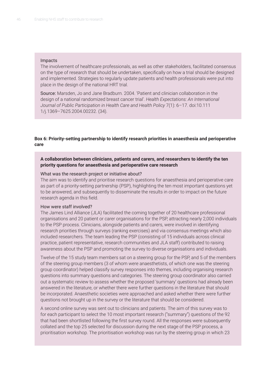#### Impacts

The involvement of healthcare professionals, as well as other stakeholders, facilitated consensus on the type of research that should be undertaken, specifically on how a trial should be designed and implemented. Strategies to regularly update patients and health professionals were put into place in the design of the national HRT trial.

Source: Marsden, Jo and Jane Bradburn. 2004. 'Patient and clinician collaboration in the design of a national randomized breast cancer trial'. *Health Expectations: An International Journal of Public Participation in Health Care and Health Policy* 7(1): 6–17. doi:10.111 1/j.1369–7625.2004.00232. (34).

#### **Box 6: Priority-setting partnership to identify research priorities in anaesthesia and perioperative care**

**A collaboration between clinicians, patients and carers, and researchers to identify the ten priority questions for anaesthesia and perioperative care research**

#### What was the research project or initiative about?

The aim was to identify and prioritise research questions for anaesthesia and perioperative care as part of a priority-setting partnership (PSP), highlighting the ten most important questions yet to be answered, and subsequently to disseminate the results in order to impact on the future research agenda in this field.

#### How were staff involved?

The James Lind Alliance (JLA) facilitated the coming together of 20 healthcare professional organisations and 20 patient or carer organisations for the PSP, attracting nearly 2,000 individuals to the PSP process. Clinicians, alongside patients and carers, were involved in identifying research priorities through surveys (ranking exercises) and via consensus meetings which also included researchers. The team leading the PSP (consisting of 15 individuals across clinical practice, patient representative, research communities and JLA staff) contributed to raising awareness about the PSP and promoting the survey to diverse organisations and individuals.

Twelve of the 15 study team members sat on a steering group for the PSP, and 5 of the members of the steering group members (3 of whom were anaesthetists, of which one was the steering group coordinator) helped classify survey responses into themes, including organising research questions into summary questions and categories. The steering group coordinator also carried out a systematic review to assess whether the proposed 'summary' questions had already been answered in the literature, or whether there were further questions in the literature that should be incorporated. Anaesthetic societies were approached and asked whether there were further questions not brought up in the survey or the literature that should be considered.

A second online survey was sent out to clinicians and patients. The aim of this survey was to for each participant to select the 10 most important research ("summary") questions of the 92 that had been shortlisted following the first survey round. All the responses were subsequently collated and the top 25 selected for discussion during the next stage of the PSP process, a prioritisation workshop. The prioritisation workshop was run by the steering group in which 23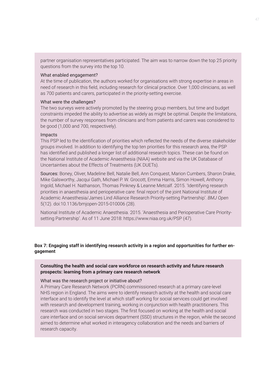partner organisation representatives participated. The aim was to narrow down the top 25 priority questions from the survey into the top 10.

#### What enabled engagement?

At the time of publication, the authors worked for organisations with strong expertise in areas in need of research in this field, including research for clinical practice. Over 1,000 clinicians, as well as 700 patients and carers, participated in the priority-setting exercise.

#### What were the challenges?

The two surveys were actively promoted by the steering group members, but time and budget constraints impeded the ability to advertise as widely as might be optimal. Despite the limitations, the number of survey responses from clinicians and from patients and carers was considered to be good (1,000 and 700, respectively).

#### Impacts

This PSP led to the identification of priorities which reflected the needs of the diverse stakeholder groups involved. In addition to identifying the top ten priorities for this research area, the PSP has identified and published a longer list of additional research topics. These can be found on the National Institute of Academic Anaesthesia (NIAA) website and via the UK Database of Uncertainties about the Effects of Treatments (UK DUETs).

Sources: Boney, Oliver, Madeline Bell, Natalie Bell, Ann Conquest, Marion Cumbers, Sharon Drake, Mike Galsworthy, Jacqui Gath, Michael P. W. Grocott, Emma Harris, Simon Howell, Anthony Ingold, Michael H. Nathanson, Thomas Pinkney & Leanne Metcalf. 2015. 'Identifying research priorities in anaesthesia and perioperative care: final report of the joint National Institute of Academic Anaesthesia/James Lind Alliance Research Priority-setting Partnership'. *BMJ Open* 5(12). doi:10.1136/bmjopen-2015-010006 (28).

National Institute of Academic Anaesthesia. 2015. 'Anaesthesia and Perioperative Care Prioritysetting Partnership'. As of 11 June 2018:<https://www.niaa.org.uk/PSP>(47).

#### **Box 7: Engaging staff in identifying research activity in a region and opportunities for further engagement**

**Consulting the health and social care workforce on research activity and future research prospects: learning from a primary care research network**

#### What was the research project or initiative about?

A Primary Care Research Network (PCRN) commissioned research at a primary care-level NHS region in England. The aims were to identify research activity at the health and social care interface and to identify the level at which staff working for social services could get involved with research and development training, working in conjunction with health practitioners. This research was conducted in two stages. The first focused on working at the health and social care interface and on social services department (SSD) structures in the region, while the second aimed to determine what worked in interagency collaboration and the needs and barriers of research capacity.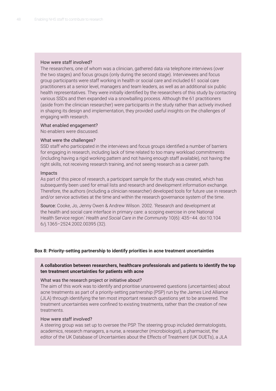#### How were staff involved?

The researchers, one of whom was a clinician, gathered data via telephone interviews (over the two stages) and focus groups (only during the second stage). Interviewees and focus group participants were staff working in health or social care and included 61 social care practitioners at a senior level, managers and team leaders, as well as an additional six public health representatives. They were initially identified by the researchers of this study by contacting various SSDs and then expanded via a snowballing process. Although the 61 practitioners (aside from the clinician researcher) were participants in the study rather than actively involved in shaping its design and implementation, they provided useful insights on the challenges of engaging with research.

#### What enabled engagement?

No enablers were discussed.

#### What were the challenges?

SSD staff who participated in the interviews and focus groups identified a number of barriers for engaging in research, including lack of time related to too many workload commitments (including having a rigid working pattern and not having enough staff available), not having the right skills, not receiving research training, and not seeing research as a career path.

#### Impacts

As part of this piece of research, a participant sample for the study was created, which has subsequently been used for email lists and research and development information exchange. Therefore, the authors (including a clinician researcher) developed tools for future use in research and/or service activities at the time and within the research governance system of the time.

Source: Cooke, Jo, Jenny Owen & Andrew Wilson. 2002. 'Research and development at the health and social care interface in primary care: a scoping exercise in one National Health Service region.' *Health and Social Care in the Community* 10(6): 435–44. doi:10.104 6/j.1365–2524.2002.00395 (32).

#### **Box 8: Priority-setting partnership to identify priorities in acne treatment uncertainties**

#### **A collaboration between researchers, healthcare professionals and patients to identify the top ten treatment uncertainties for patients with acne**

#### What was the research project or initiative about?

The aim of this work was to identify and prioritise unanswered questions (uncertainties) about acne treatments as part of a priority-setting partnership (PSP) run by the James Lind Alliance (JLA) through identifying the ten most important research questions yet to be answered. The treatment uncertainties were confined to existing treatments, rather than the creation of new treatments.

#### How were staff involved?

A steering group was set up to oversee the PSP. The steering group included dermatologists, academics, research managers, a nurse, a researcher (microbiologist), a pharmacist, the editor of the UK Database of Uncertainties about the Effects of Treatment (UK DUETs), a JLA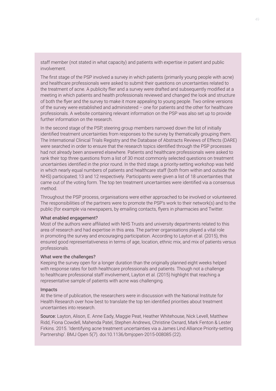staff member (not stated in what capacity) and patients with expertise in patient and public involvement.

The first stage of the PSP involved a survey in which patients (primarily young people with acne) and healthcare professionals were asked to submit their questions on uncertainties related to the treatment of acne. A publicity flier and a survey were drafted and subsequently modified at a meeting in which patients and health professionals reviewed and changed the look and structure of both the flyer and the survey to make it more appealing to young people. Two online versions of the survey were established and administered – one for patients and the other for healthcare professionals. A website containing relevant information on the PSP was also set up to provide further information on the research.

In the second stage of the PSP, steering group members narrowed down the list of initially identified treatment uncertainties from responses to the survey by thematically grouping them. The International Clinical Trials Registry and the Database of Abstracts Reviews of Effects (DARE) were searched in order to ensure that the research topics identified through the PSP processes had not already been answered elsewhere. Patients and healthcare professionals were asked to rank their top three questions from a list of 30 most commonly selected questions on treatment uncertainties identified in the prior round. In the third stage, a priority-setting workshop was held in which nearly equal numbers of patients and healthcare staff (both from within and outside the NHS) participated; 13 and 12 respectively. Participants were given a list of 18 uncertainties that came out of the voting form. The top ten treatment uncertainties were identified via a consensus method.

Throughout the PSP process, organisations were either approached to be involved or volunteered. The responsibilities of the partners were to promote the PSP's work to their network(s) and to the public (for example via newspapers, by emailing contacts, flyers in pharmacies and Twitter.

#### What enabled engagement?

Most of the authors were affiliated with NHS Trusts and university departments related to this area of research and had expertise in this area. The partner organisations played a vital role in promoting the survey and encouraging participation. According to Layton et al. (2015), this ensured good representativeness in terms of age, location, ethnic mix, and mix of patients versus professionals.

#### What were the challenges?

Keeping the survey open for a longer duration than the originally planned eight weeks helped with response rates for both healthcare professionals and patients. Though not a challenge to healthcare professional staff involvement, Layton et al. (2015) highlight that reaching a representative sample of patients with acne was challenging.

#### Impacts

At the time of publication, the researchers were in discussion with the National Institute for Health Research over how best to translate the top ten identified priorities about treatment uncertainties into research.

Source: Layton, Alison, E. Anne Eady, Maggie Peat, Heather Whitehouse, Nick Levell, Matthew Ridd, Fiona Cowdell, Mahenda Patel, Stephen Andrews, Christine Oxnard, Mark Fenton & Lester Firkins. 2015. 'Identifying acne treatment uncertainties via a James Lind Alliance Priority-setting Partnership'. BMJ Open 5(7). doi:10.1136/bmjopen-2015-008085 (22).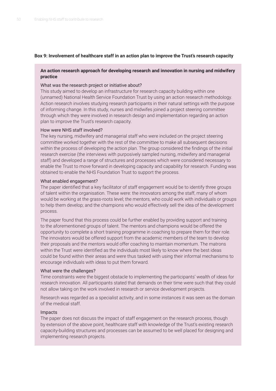#### **Box 9: Involvement of healthcare staff in an action plan to improve the Trust's research capacity**

#### **An action research approach for developing research and innovation in nursing and midwifery practice**

#### What was the research project or initiative about?

This study aimed to develop an infrastructure for research capacity building within one (unnamed) National Health Service Foundation Trust by using an action research methodology. Action research involves studying research participants in their natural settings with the purpose of informing change. In this study, nurses and midwifes joined a project steering committee through which they were involved in research design and implementation regarding an action plan to improve the Trust's research capacity.

#### How were NHS staff involved?

The key nursing, midwifery and managerial staff who were included on the project steering committee worked together with the rest of the committee to make all subsequent decisions within the process of developing the action plan. The group considered the findings of the initial research exercise (the interviews with purposively sampled nursing, midwifery and managerial staff) and developed a range of structures and processes which were considered necessary to enable the Trust to move forward in developing capacity and capability for research. Funding was obtained to enable the NHS Foundation Trust to support the process.

#### What enabled engagement?

The paper identified that a key facilitator of staff engagement would be to identify three groups of talent within the organisation. These were: the innovators among the staff, many of whom would be working at the grass-roots level; the mentors, who could work with individuals or groups to help them develop; and the champions who would effectively sell the idea of the development process.

The paper found that this process could be further enabled by providing support and training to the aforementioned groups of talent. The mentors and champions would be offered the opportunity to complete a short training programme in coaching to prepare them for their role. The innovators would be offered support from the academic members of the team to develop their proposals and the mentors would offer coaching to maintain momentum. The matrons within the Trust were identified as the individuals most likely to know where the best ideas could be found within their areas and were thus tasked with using their informal mechanisms to encourage individuals with ideas to put them forward.

#### What were the challenges?

Time constraints were the biggest obstacle to implementing the participants' wealth of ideas for research innovation. All participants stated that demands on their time were such that they could not allow taking on the work involved in research or service development projects.

Research was regarded as a specialist activity, and in some instances it was seen as the domain of the medical staff.

#### Impacts

The paper does not discuss the impact of staff engagement on the research process, though by extension of the above point, healthcare staff with knowledge of the Trust's existing research capacity-building structures and processes can be assumed to be well placed for designing and implementing research projects.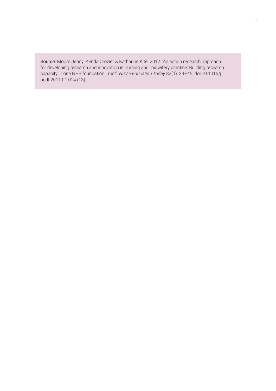Source: Moore Jenny, Kenda Crozier & Katharine Kite. 2012. 'An action research approach for developing research and innovation in nursing and midwifery practice: Building research capacity in one NHS foundation Trust'. *Nurse Education Today* 32(1): 39–45. doi:10.1016/j. nedt.2011.01.014 (13).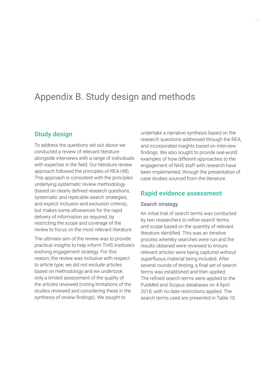# Appendix B. Study design and methods

# **Study design**

To address the questions set out above we conducted a review of relevant literature alongside interviews with a range of individuals with expertise in the field. Our literature review approach followed the principles of REA (48). This approach is consistent with the principles underlying systematic review methodology (based on clearly defined research questions, systematic and replicable search strategies, and explicit inclusion and exclusion criteria), but makes some allowances for the rapid delivery of information as required, by restricting the scope and coverage of the review to focus on the most relevant literature.

The ultimate aim of the review was to provide practical insights to help inform THIS Institute's evolving engagement strategy. For this reason, the review was inclusive with respect to article type; we did not exclude articles based on methodology and we undertook only a limited assessment of the quality of the articles reviewed (noting limitations of the studies reviewed and considering these in the synthesis of review findings). We sought to

undertake a narrative synthesis based on the research questions addressed through the REA, and incorporated insights based on interview findings. We also sought to provide real-world examples of how different approaches to the engagement of NHS staff with research have been implemented, through the presentation of case studies sourced from the literature.

# **Rapid evidence assessment**

#### Search strategy

An initial trial of search terms was conducted by two researchers to refine search terms and scope based on the quantity of relevant literature identified. This was an iterative process whereby searches were run and the results obtained were reviewed to ensure relevant articles were being captured without superfluous material being included. After several rounds of testing, a final set of search terms was established and then applied. The refined search terms were applied to the PubMed and Scopus databases on 4 April 2018, with no date restrictions applied. The search terms used are presented in Table 10.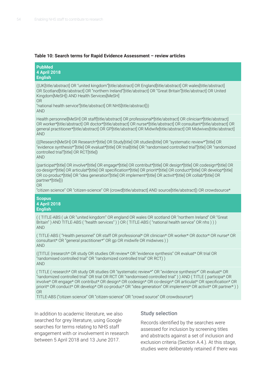#### **Table 10: Search terms for Rapid Evidence Assessment – review articles**

**PubMed 4 April 2018 English**

((UK[title/abstract] OR "united kingdom"[title/abstract] OR England[title/abstract] OR wales[title/abstract] OR Scotland[title/abstract] OR "northern Ireland"[title/abstract] OR "Great Britain"[title/abstract] OR United Kingdom[MeSH]) AND Health Services[MeSH] OR

"national health service"[title/abstract] OR NHS[title/abstract])) AND

Health personnel[MeSH] OR staff[title/abstract] OR professional\*[title/abstract] OR clinician\*[title/abstract] OR worker\*[title/abstract] OR doctor\*[title/abstract] OR nurse\*[title/abstract] OR consultant\*[title/abstract] OR general practitioner\*[title/abstract] OR GP[title/abstract] OR Midwife[title/abstract] OR Midwives[title/abstract] AND

(((Research[MeSH] OR Research\*[title] OR Study[title] OR studies[title] OR "systematic review\*"[title] OR "evidence synthesis\*"[title] OR evaluat\*[title] OR trial[title] OR "randomised controlled trial"[title] OR "randomized controlled trial"[title] OR RCT[title]) AND

(participat\*[title] OR involve\*[title] OR engage\*[title] OR contribut\*[title] OR design\*[title] OR codesign\*[title] OR co-design\*[title] OR articulat\*[title] OR specification\*[title] OR priorit\*[title] OR conduct\*[title] OR develop\*[title] OR co-produc\*[title] OR "idea generation"[title] OR implement\*[title] OR activit\*[title] OR collab\*[title] OR partner\*[title]))

OR

"citizen science" OR "citizen-science" OR (crowd[title/abstract] AND source[title/abstract]) OR crowdsource\*

**Scopus 4 April 2018 English**

( ( TITLE-ABS ( uk OR "united kingdom" OR england OR wales OR scotland OR "northern Ireland" OR "Great Britain" ) AND TITLE-ABS ( "health services" ) ) OR ( TITLE-ABS ( "national health service" OR nhs ) ) ) AND

( TITLE-ABS ( "Health personnel" OR staff OR professional\* OR clinician\* OR worker\* OR doctor\* OR nurse\* OR consultant\* OR "general practitioner\*" OR gp OR midwife OR midwives ) ) AND

((TITLE (research\* OR study OR studies OR review\* OR "evidence synthesis" OR evaluat\* OR trial OR "randomised controlled trial" OR "randomized controlled trial" OR RCT) ) AND

( TITLE ( research\* OR study OR studies OR "systematic review\*" OR "evidence synthesis\*" OR evaluat\* OR "randomized controlled trial" OR trial OR RCT OR "randomised controlled trial" ) ) AND ( TITLE ( participa\* OR involve\* OR engage\* OR contribut\* OR design\* OR codesign\* OR co-design\* OR articulat\* OR specification\* OR priorit\* OR conduct\* OR develop\* OR co-produc\* OR "idea generation" OR implement\* OR activit\* OR partner\*)) OR

TITLE-ABS ("citizen science" OR "citizen-science" OR "crowd source" OR crowdsource\*)

In addition to academic literature, we also searched for grey literature, using Google searches for terms relating to NHS staff engagement with or involvement in research between 5 April 2018 and 13 June 2017.

#### Study selection

Records identified by the searches were assessed for inclusion by screening titles and abstracts against a set of inclusion and exclusion criteria (Section A.4.). At this stage, studies were deliberately retained if there was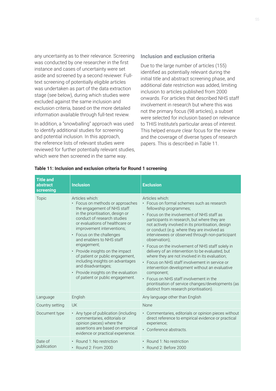any uncertainty as to their relevance. Screening was conducted by one researcher in the first instance and cases of uncertainty were set aside and screened by a second reviewer. Fulltext screening of potentially eligible articles was undertaken as part of the data extraction stage (see below), during which studies were excluded against the same inclusion and exclusion criteria, based on the more detailed information available through full-text review.

In addition, a "snowballing" approach was used to identify additional studies for screening and potential inclusion. In this approach, the reference lists of relevant studies were reviewed for further potentially relevant studies, which were then screened in the same way.

### Inclusion and exclusion criteria

Due to the large number of articles (155) identified as potentially relevant during the initial title and abstract screening phase, and additional date restriction was added, limiting inclusion to articles published from 2000 onwards. For articles that described NHS staff involvement in research but where this was not the primary focus (98 articles), a subset were selected for inclusion based on relevance to THIS Institute's particular areas of interest. This helped ensure clear focus for the review and the coverage of diverse types of research papers. This is described in Table 11.

| <b>Title and</b><br>abstract<br>screening | <b>Inclusion</b>                                                                                                                                                                                                                                                                                                                                                                                                                                                                                              | <b>Exclusion</b>                                                                                                                                                                                                                                                                                                                                                                                                                                                                                                                                                                                                                                                                                                                                                                          |
|-------------------------------------------|---------------------------------------------------------------------------------------------------------------------------------------------------------------------------------------------------------------------------------------------------------------------------------------------------------------------------------------------------------------------------------------------------------------------------------------------------------------------------------------------------------------|-------------------------------------------------------------------------------------------------------------------------------------------------------------------------------------------------------------------------------------------------------------------------------------------------------------------------------------------------------------------------------------------------------------------------------------------------------------------------------------------------------------------------------------------------------------------------------------------------------------------------------------------------------------------------------------------------------------------------------------------------------------------------------------------|
| Topic                                     | Articles which:<br>• Focus on methods or approaches<br>the engagement of NHS staff<br>in the prioritisation, design or<br>conduct of research studies<br>or evaluations of healthcare or<br>improvement interventions;<br>• Focus on the challenges<br>and enablers to NHS staff<br>engagement;<br>• Provide insights on the impact<br>of patient or public engagement,<br>including insights on advantages<br>and disadvantages;<br>• Provide insights on the evaluation<br>of patient or public engagement. | Articles which:<br>• Focus on formal schemes such as research<br>fellowship programmes;<br>• Focus on the involvement of NHS staff as<br>participants in research, but where they are<br>not actively involved in its prioritisation, design<br>or conduct (e.g. where they are involved as<br>interviewees or observed through non-participant<br>observation);<br>• Focus on the involvement of NHS staff solely in<br>delivery of an intervention to be evaluated, but<br>where they are not involved in its evaluation;<br>• Focus on NHS staff involvement in service or<br>intervention development without an evaluative<br>component;<br>• Focus on NHS staff involvement in the<br>prioritisation of service changes/developments (as<br>distinct from research prioritisation). |
| Language                                  | English                                                                                                                                                                                                                                                                                                                                                                                                                                                                                                       | Any language other than English                                                                                                                                                                                                                                                                                                                                                                                                                                                                                                                                                                                                                                                                                                                                                           |
| Country setting                           | UK                                                                                                                                                                                                                                                                                                                                                                                                                                                                                                            | <b>None</b>                                                                                                                                                                                                                                                                                                                                                                                                                                                                                                                                                                                                                                                                                                                                                                               |
| Document type                             | • Any type of publication (including<br>commentaries, editorials or<br>opinion pieces) where the<br>assertions are based on empirical<br>evidence or practical experience.                                                                                                                                                                                                                                                                                                                                    | • Commentaries, editorials or opinion pieces without<br>direct reference to empirical evidence or practical<br>experience;<br>• Conference abstracts.                                                                                                                                                                                                                                                                                                                                                                                                                                                                                                                                                                                                                                     |
| Date of<br>publication                    | • Round 1: No restriction<br>• Round 2: From 2000                                                                                                                                                                                                                                                                                                                                                                                                                                                             | • Round 1: No restriction<br>$\cdot$ Round 2: Before 2000                                                                                                                                                                                                                                                                                                                                                                                                                                                                                                                                                                                                                                                                                                                                 |

#### **Table 11: Inclusion and exclusion criteria for Round 1 screening**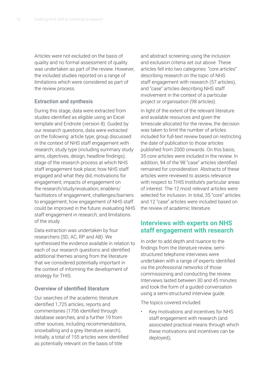Articles were not excluded on the basis of quality and no formal assessment of quality was undertaken as part of the review. However, the included studies reported on a range of limitations which were considered as part of the review process.

### Extraction and synthesis

During this stage, data were extracted from studies identified as eligible using an Excel template and Endnote (version 8). Guided by our research questions, data were extracted on the following: article type; group discussed in the context of NHS staff engagement with research; study type (including summary study aims, objectives, design, headline findings); stage of the research process at which NHS staff engagement took place; how NHS staff engaged and what they did; motivations for engagement; impacts of engagement on the research/study/evaluation; enablers/ facilitators of engagement; challenges/barriers to engagement; how engagement of NHS staff could be improved in the future; evaluating NHS staff engagement in research; and limitations of the study.

Data extraction was undertaken by four researchers (SD, AC, RP and AB). We synthesised the evidence available in relation to each of our research questions and identified additional themes arising from the literature that we considered potentially important in the context of informing the development of strategy for THIS.

## Overview of identified literature

Our searches of the academic literature identified 1,725 articles, reports and commentaries (1706 identified through database searches, and a further 19 from other sources, including recommendations, snowballing and a grey literature search). Initially, a total of 155 articles were identified as potentially relevant on the basis of title

and abstract screening using the inclusion and exclusion criteria set out above. These articles fell into two categories: "core articles" describing research on the topic of NHS staff engagement with research (57 articles), and "case" articles describing NHS staff involvement in the context of a particular project or organisation (98 articles).

In light of the extent of the relevant literature and available resources and given the timescale allocated for the review, the decision was taken to limit the number of articles included for full-text review based on restricting the date of publication to those articles published from 2000 onwards. On this basis, 35 core articles were included in the review. In addition, 94 of the 98 "case" articles identified remained for consideration. Abstracts of these articles were reviewed to assess relevance with respect to THIS Institute's particular areas of interest. The 12 most relevant articles were selected for inclusion. In total, 35 "core" articles and 12 "case" articles were included based on the review of academic literature.

# **Interviews with experts on NHS staff engagement with research**

In order to add depth and nuance to the findings from the literature review, semistructured telephone interviews were undertaken with a range of experts identified via the professional networks of those commissioning and conducting the review. Interviews lasted between 30 and 45 minutes and took the form of a guided conversation using a semi-structured interview guide.

The topics covered included:

• Key motivations and incentives for NHS staff engagement with research (and associated practical means through which these motivations and incentives can be deployed);